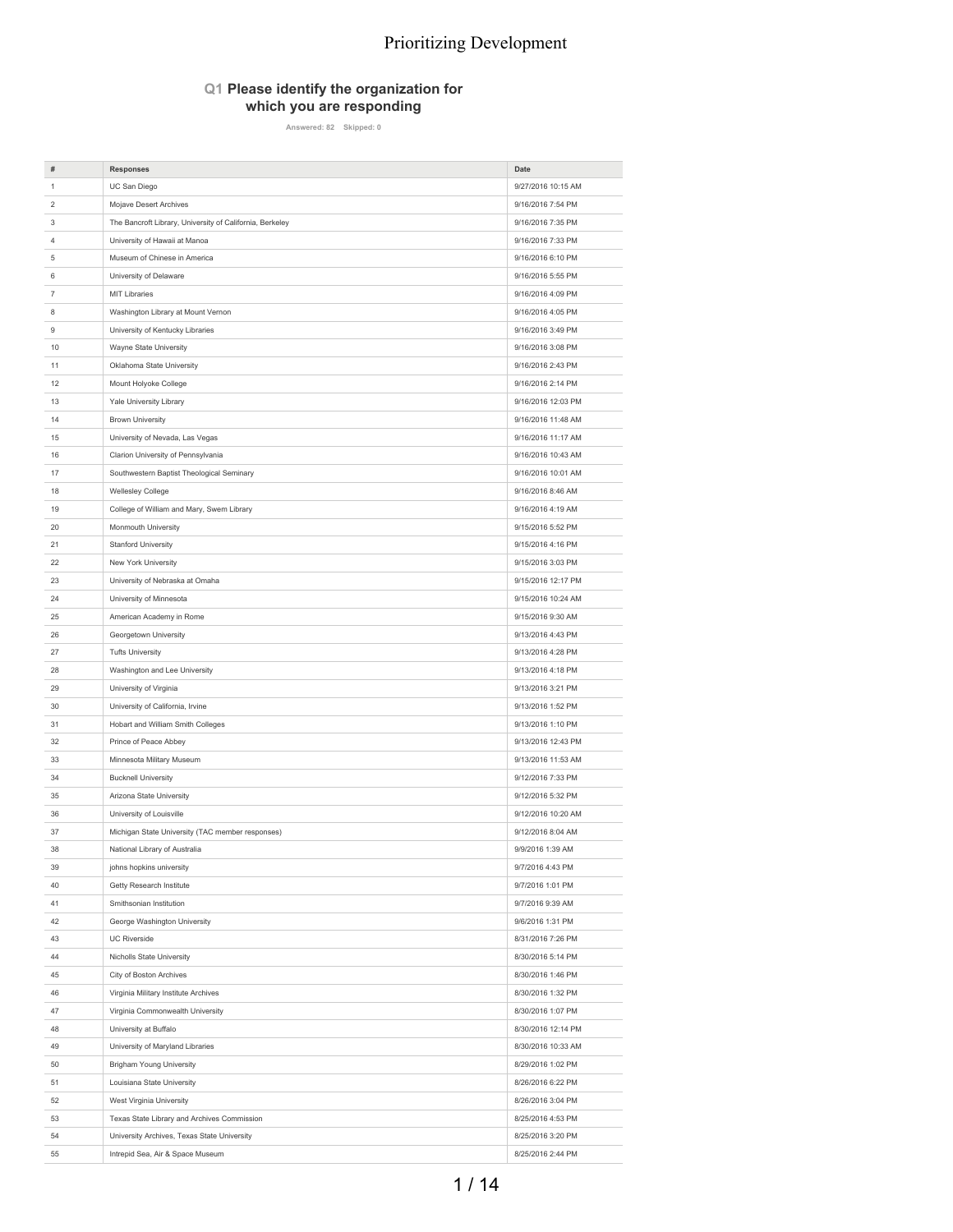#### **Q1 Please identify the organization for which you are responding**

**Answered: 82 Skipped: 0**

| #              | <b>Responses</b>                                                      | Date                                     |
|----------------|-----------------------------------------------------------------------|------------------------------------------|
| 1              | UC San Diego                                                          | 9/27/2016 10:15 AM                       |
| 2              | Mojave Desert Archives                                                | 9/16/2016 7:54 PM                        |
| 3              | The Bancroft Library, University of California, Berkeley              | 9/16/2016 7:35 PM                        |
| 4              | University of Hawaii at Manoa                                         | 9/16/2016 7:33 PM                        |
| 5              | Museum of Chinese in America                                          | 9/16/2016 6:10 PM                        |
| 6              | University of Delaware                                                | 9/16/2016 5:55 PM                        |
| $\overline{7}$ | <b>MIT Libraries</b>                                                  | 9/16/2016 4:09 PM                        |
| 8              | Washington Library at Mount Vernon                                    | 9/16/2016 4:05 PM                        |
| 9              | University of Kentucky Libraries                                      | 9/16/2016 3:49 PM                        |
| 10             | Wayne State University                                                | 9/16/2016 3:08 PM                        |
| 11             | Oklahoma State University                                             | 9/16/2016 2:43 PM                        |
| 12             | Mount Holyoke College                                                 | 9/16/2016 2:14 PM                        |
| 13             | Yale University Library                                               | 9/16/2016 12:03 PM                       |
| 14             | <b>Brown University</b>                                               | 9/16/2016 11:48 AM                       |
|                |                                                                       |                                          |
| 15<br>16       | University of Nevada, Las Vegas<br>Clarion University of Pennsylvania | 9/16/2016 11:17 AM<br>9/16/2016 10:43 AM |
|                |                                                                       |                                          |
| 17             | Southwestern Baptist Theological Seminary                             | 9/16/2016 10:01 AM                       |
| 18             | Wellesley College                                                     | 9/16/2016 8:46 AM                        |
| 19             | College of William and Mary, Swem Library                             | 9/16/2016 4:19 AM                        |
| 20             | Monmouth University                                                   | 9/15/2016 5:52 PM                        |
| 21             | Stanford University                                                   | 9/15/2016 4:16 PM                        |
| 22             | New York University                                                   | 9/15/2016 3:03 PM                        |
| 23             | University of Nebraska at Omaha                                       | 9/15/2016 12:17 PM                       |
| 24             | University of Minnesota                                               | 9/15/2016 10:24 AM                       |
| 25             | American Academy in Rome                                              | 9/15/2016 9:30 AM                        |
| 26             | Georgetown University                                                 | 9/13/2016 4:43 PM                        |
| 27             | <b>Tufts University</b>                                               | 9/13/2016 4:28 PM                        |
| 28             | Washington and Lee University                                         | 9/13/2016 4:18 PM                        |
| 29             | University of Virginia                                                | 9/13/2016 3:21 PM                        |
| 30             | University of California, Irvine                                      | 9/13/2016 1:52 PM                        |
| 31             | Hobart and William Smith Colleges                                     | 9/13/2016 1:10 PM                        |
| 32             | Prince of Peace Abbey                                                 | 9/13/2016 12:43 PM                       |
| 33             | Minnesota Military Museum                                             | 9/13/2016 11:53 AM                       |
| 34             | <b>Bucknell University</b>                                            | 9/12/2016 7:33 PM                        |
| 35             | Arizona State University                                              | 9/12/2016 5:32 PM                        |
| 36             | University of Louisville                                              | 9/12/2016 10:20 AM                       |
| 37             | Michigan State University (TAC member responses)                      | 9/12/2016 8:04 AM                        |
| 38             | National Library of Australia                                         | 9/9/2016 1:39 AM                         |
| 39             | johns hopkins university                                              | 9/7/2016 4:43 PM                         |
| 40             | Getty Research Institute                                              | 9/7/2016 1:01 PM                         |
| 41             | Smithsonian Institution                                               | 9/7/2016 9:39 AM                         |
| 42             | George Washington University                                          | 9/6/2016 1:31 PM                         |
| 43             | <b>UC Riverside</b>                                                   | 8/31/2016 7:26 PM                        |
| 44             | Nicholls State University                                             | 8/30/2016 5:14 PM                        |
| 45             | City of Boston Archives                                               | 8/30/2016 1:46 PM                        |
| 46             | Virginia Military Institute Archives                                  | 8/30/2016 1:32 PM                        |
| 47             | Virginia Commonwealth University                                      | 8/30/2016 1:07 PM                        |
| 48             | University at Buffalo                                                 | 8/30/2016 12:14 PM                       |
| 49             | University of Maryland Libraries                                      | 8/30/2016 10:33 AM                       |
| 50             | <b>Brigham Young University</b>                                       | 8/29/2016 1:02 PM                        |
| 51             | Louisiana State University                                            | 8/26/2016 6:22 PM                        |
| 52             | West Virginia University                                              | 8/26/2016 3:04 PM                        |
| 53             | Texas State Library and Archives Commission                           | 8/25/2016 4:53 PM                        |
| 54             | University Archives, Texas State University                           | 8/25/2016 3:20 PM                        |
|                |                                                                       |                                          |
| 55             | Intrepid Sea, Air & Space Museum                                      | 8/25/2016 2:44 PM                        |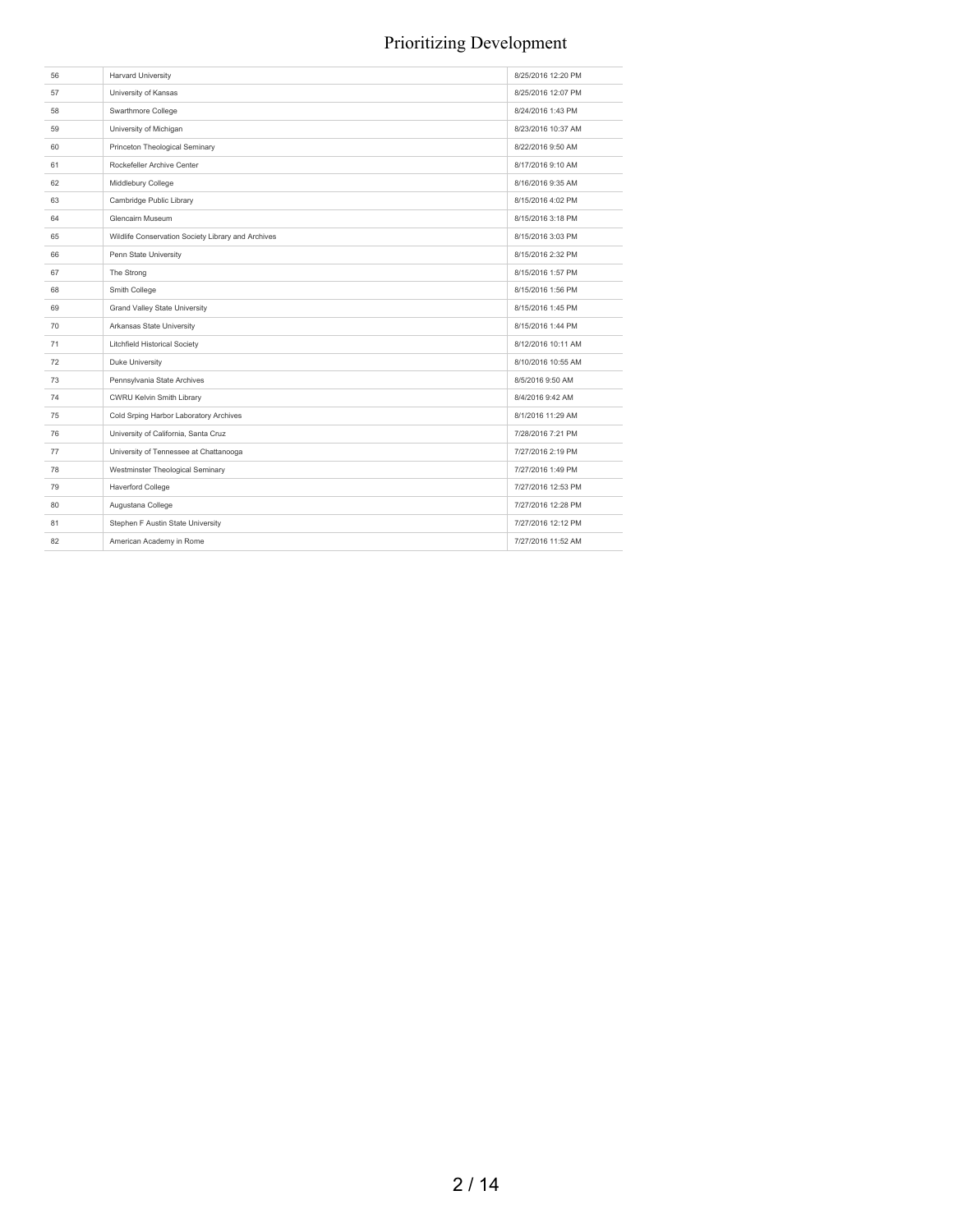| 56 | <b>Harvard University</b>                          | 8/25/2016 12:20 PM |
|----|----------------------------------------------------|--------------------|
| 57 | University of Kansas                               | 8/25/2016 12:07 PM |
| 58 | Swarthmore College                                 | 8/24/2016 1:43 PM  |
| 59 | University of Michigan                             | 8/23/2016 10:37 AM |
| 60 | Princeton Theological Seminary                     | 8/22/2016 9:50 AM  |
| 61 | Rockefeller Archive Center                         | 8/17/2016 9:10 AM  |
| 62 | Middlebury College                                 | 8/16/2016 9:35 AM  |
| 63 | Cambridge Public Library                           | 8/15/2016 4:02 PM  |
| 64 | Glencairn Museum                                   | 8/15/2016 3:18 PM  |
| 65 | Wildlife Conservation Society Library and Archives | 8/15/2016 3:03 PM  |
| 66 | Penn State University                              | 8/15/2016 2:32 PM  |
| 67 | The Strong                                         | 8/15/2016 1:57 PM  |
| 68 | Smith College                                      | 8/15/2016 1:56 PM  |
| 69 | <b>Grand Valley State University</b>               | 8/15/2016 1:45 PM  |
| 70 | Arkansas State University                          | 8/15/2016 1:44 PM  |
| 71 | <b>Litchfield Historical Society</b>               | 8/12/2016 10:11 AM |
| 72 | Duke University                                    | 8/10/2016 10:55 AM |
| 73 | Pennsylvania State Archives                        | 8/5/2016 9:50 AM   |
| 74 | CWRU Kelvin Smith Library                          | 8/4/2016 9:42 AM   |
| 75 | Cold Srping Harbor Laboratory Archives             | 8/1/2016 11:29 AM  |
| 76 | University of California, Santa Cruz               | 7/28/2016 7:21 PM  |
| 77 | University of Tennessee at Chattanooga             | 7/27/2016 2:19 PM  |
| 78 | Westminster Theological Seminary                   | 7/27/2016 1:49 PM  |
| 79 | Haverford College                                  | 7/27/2016 12:53 PM |
| 80 | Augustana College                                  | 7/27/2016 12:28 PM |
| 81 | Stephen F Austin State University                  | 7/27/2016 12:12 PM |
| 82 | American Academy in Rome                           | 7/27/2016 11:52 AM |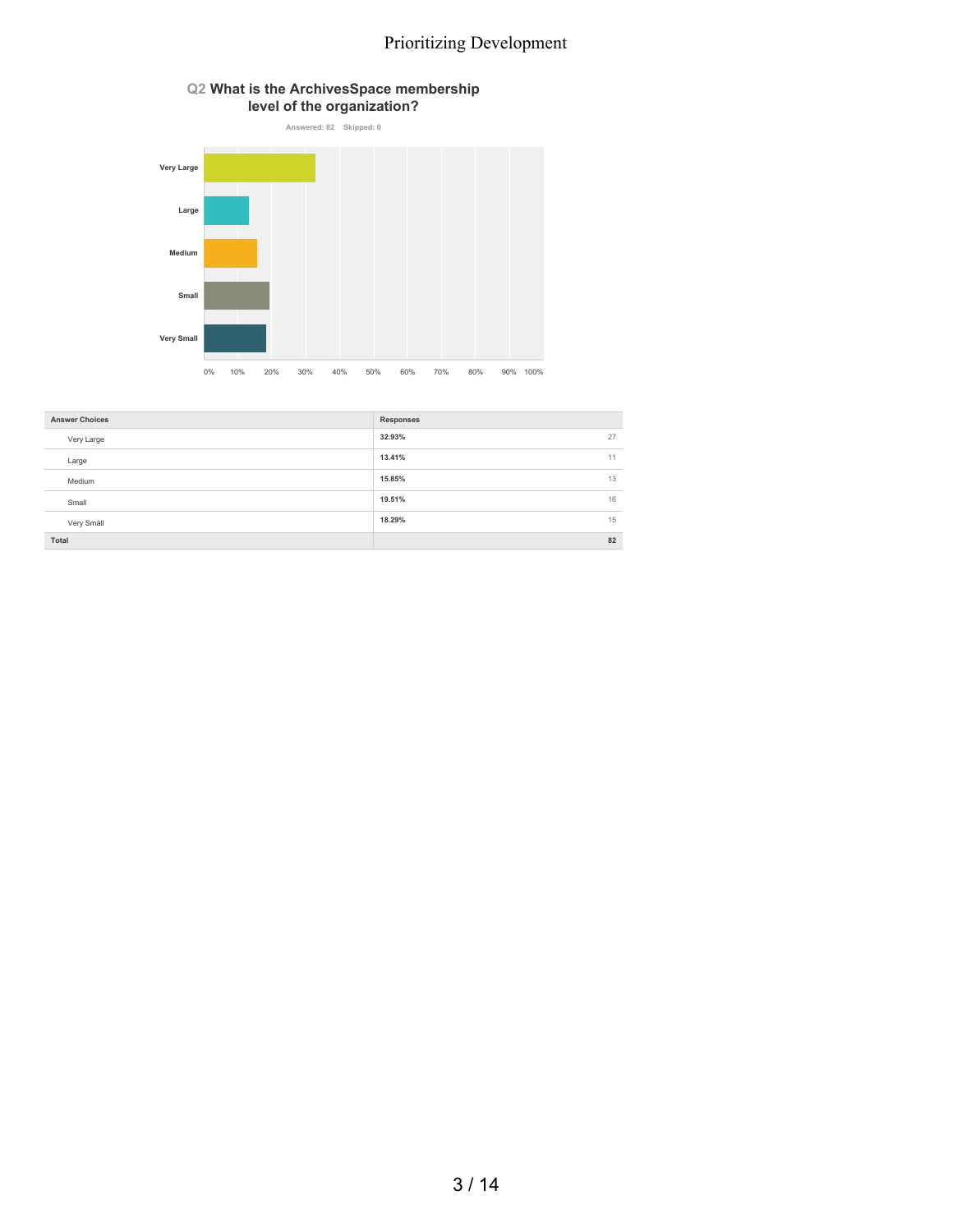

# 0% 10% 20% 30% 40% 50% 60% 70% 80% 90% 100%

| <b>Answer Choices</b><br><b>Responses</b><br>32.93%<br>27<br>Very Large<br>13.41%<br>11<br>Large<br>13<br>15.85%<br>Medium<br>19.51%<br>16<br>Small<br>18.29%<br>15<br>Very Small |  |  |
|-----------------------------------------------------------------------------------------------------------------------------------------------------------------------------------|--|--|
|                                                                                                                                                                                   |  |  |
|                                                                                                                                                                                   |  |  |
|                                                                                                                                                                                   |  |  |
|                                                                                                                                                                                   |  |  |
|                                                                                                                                                                                   |  |  |
|                                                                                                                                                                                   |  |  |
| 82<br>Total                                                                                                                                                                       |  |  |

## 3 / 14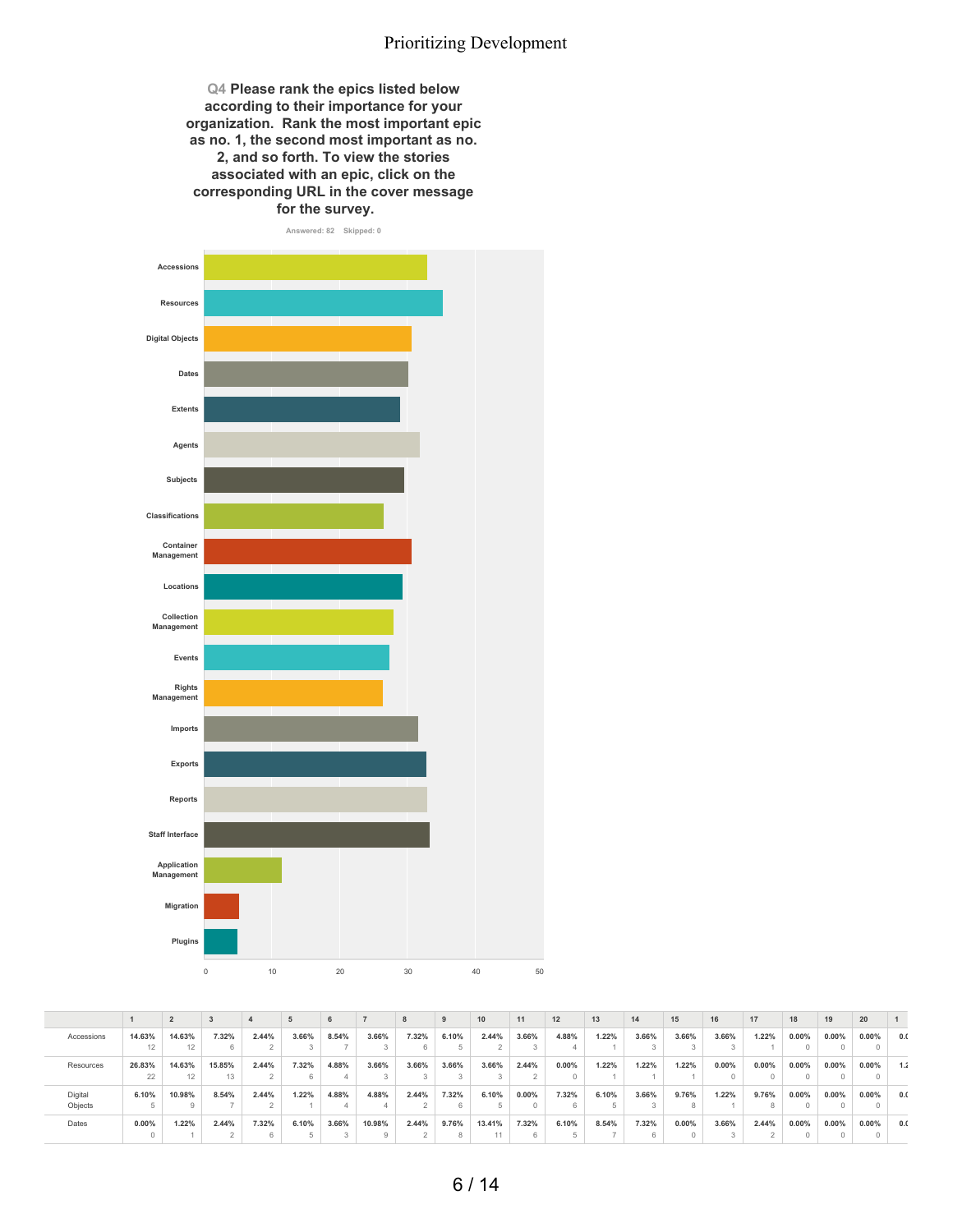**Q4 Please rank the epics listed below according to their importance for your organization. Rank the most important epic as no. 1, the second most important as no. 2, and so forth. To view the stories associated with an epic, click on the corresponding URL in the cover message for the survey.**



|            |          |        |        |       |       | 6     |        |       | 9     | 10     | 11       | 12    | 13    | 14    | 15    | 16    | 17       | 18       | 19       | 20       |     |
|------------|----------|--------|--------|-------|-------|-------|--------|-------|-------|--------|----------|-------|-------|-------|-------|-------|----------|----------|----------|----------|-----|
| Accessions | 14.63%   | 14.63% | 7.32%  | 2.44% | 3.66% | 8.54% | 3.66%  | 7.32% | 6.10% | 2.44%  | 3.66%    | 4.88% | 1.22% | 3.66% | 3.66% | 3.66% | 1.22%    | $0.00\%$ | $0.00\%$ | $0.00\%$ | 0.0 |
|            | 12       |        |        |       |       |       |        |       |       |        |          |       |       |       |       |       |          |          |          |          |     |
| Resources  | 26.83%   | 14.63% | 15.85% | 2.44% | 7.32% | 4.88% | 3.66%  | 3.66% | 3.66% | 3.66%  | 2.44%    | 0.00% | 1.22% | 1.22% | 1.22% | 0.00% | $0.00\%$ | $0.00\%$ | $0.00\%$ | $0.00\%$ | 1.2 |
|            | 22       | 12     | 13     |       |       |       |        |       |       |        |          |       |       |       |       |       |          |          |          |          |     |
| Digital    | 6.10%    | 10.98% | 8.54%  | 2.44% | 1.22% | 4.88% | 4.88%  | 2.44% | 7.32% | 6.10%  | $0.00\%$ | 7.32% | 6.10% | 3.66% | 9.76% | 1.22% | 9.76%    | 0.00%    | $0.00\%$ | $0.00\%$ | 0.0 |
| Objects    |          |        |        |       |       |       |        |       |       |        |          |       |       |       |       |       |          |          |          |          |     |
| Dates      | $0.00\%$ | 1.22%  | 2.44%  | 7.32% | 6.10% | 3.66% | 10.98% | 2.44% | 9.76% | 13.41% | 7.32%    | 6.10% | 8.54% | 7.32% | 0.00% | 3.66% | 2.44%    | $0.00\%$ | $0.00\%$ | $0.00\%$ | 0.0 |
|            |          |        |        |       |       |       |        |       |       |        |          |       |       |       |       |       |          |          |          |          |     |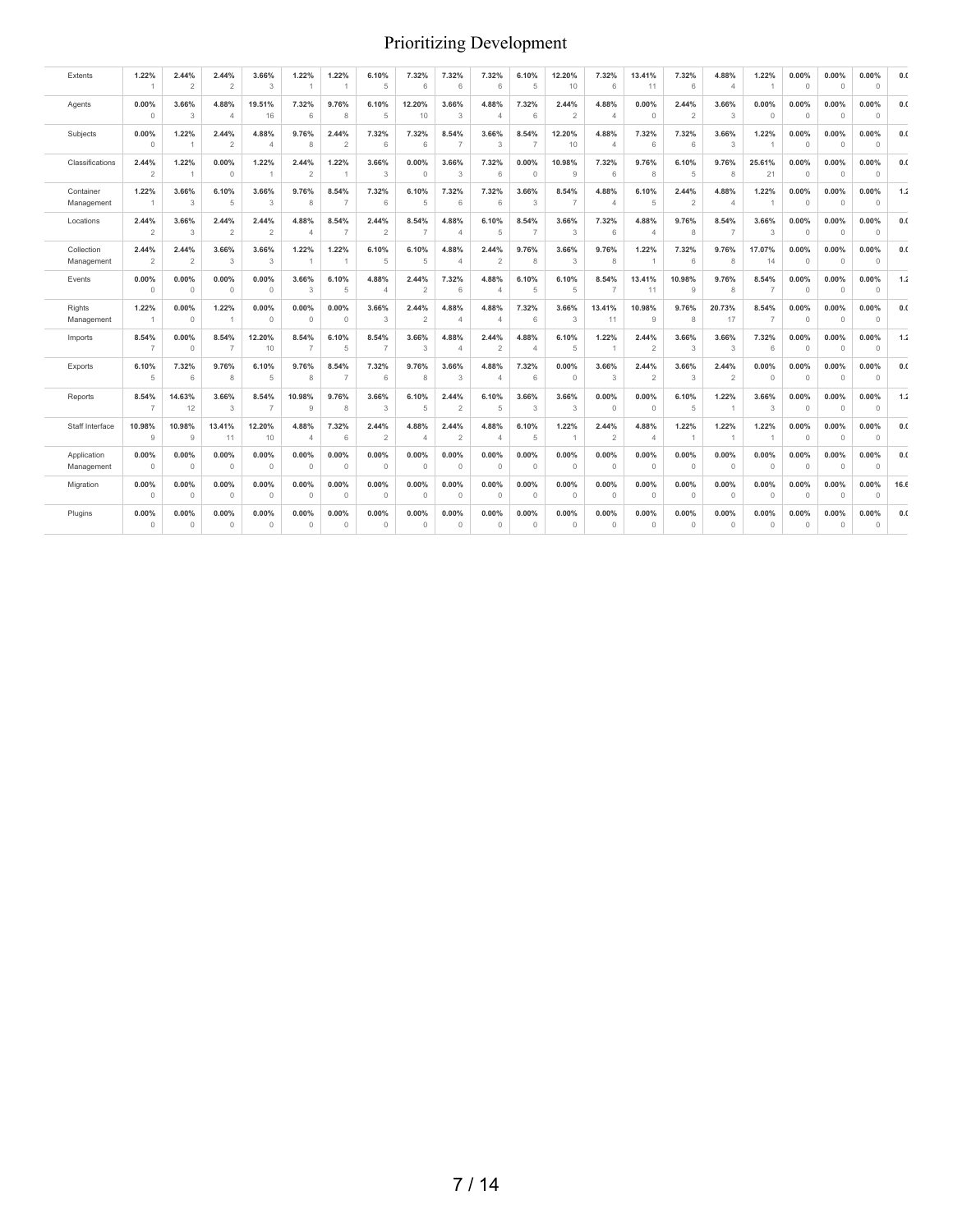| Extents                   | 1.22%<br>$\overline{1}$ | 2.44%<br>$\overline{2}$ | 2.44%<br>$\overline{2}$ | 3.66%<br>3              | 1.22%<br>$\overline{1}$ | 1.22%<br>$\overline{1}$ | 6.10%<br>5              | 7.32%<br>6              | 7.32%<br>6              | 7.32%<br>6              | 6.10%<br>5              | 12.20%<br>10            | 7.32%<br>6              | 13.41%<br>11            | 7.32%<br>6              | 4.88%<br>$\overline{4}$ | 1.22%<br>$\overline{1}$ | 0.00%<br>$\circ$      | 0.00%<br>$\circ$        | 0.00%<br>$\circ$  | 0.0  |
|---------------------------|-------------------------|-------------------------|-------------------------|-------------------------|-------------------------|-------------------------|-------------------------|-------------------------|-------------------------|-------------------------|-------------------------|-------------------------|-------------------------|-------------------------|-------------------------|-------------------------|-------------------------|-----------------------|-------------------------|-------------------|------|
| Agents                    | 0.00%<br>$\circ$        | 3.66%<br>3              | 4.88%<br>$\overline{4}$ | 19.51%<br>16            | 7.32%<br>6              | 9.76%<br>8              | 6.10%<br>5              | 12.20%<br>10            | 3.66%<br>3              | 4.88%<br>$\Delta$       | 7.32%<br>6              | 2.44%<br>$\overline{2}$ | 4.88%<br>$\overline{4}$ | 0.00%<br>$\circ$        | 2.44%<br>$\overline{2}$ | 3.66%<br>3              | 0.00%<br>$\circ$        | 0.00%<br>$\Omega$     | 0.00%<br>$\circ$        | 0.00%<br>$\circ$  | 0.0  |
| Subjects                  | 0.00%<br>$\Omega$       | 1.22%                   | 2.44%<br>$\overline{2}$ | 4.88%<br>$\overline{4}$ | 9.76%<br>8              | 2.44%<br>$\overline{2}$ | 7.32%<br>6              | 7.32%<br>6              | 8.54%<br>$\overline{7}$ | 3.66%<br>3              | 8.54%<br>7              | 12.20%<br>10            | 4.88%<br>$\overline{4}$ | 7.32%<br>6              | 7.32%<br>6              | 3.66%<br>3              | 1.22%                   | 0.00%<br>$\Omega$     | 0.00%<br>$\overline{0}$ | 0.00%<br>$\circ$  | 0.0  |
| Classifications           | 2.44%<br>$\overline{2}$ | 1.22%                   | 0.00%<br>$\circ$        | 1.22%<br>$\overline{1}$ | 2.44%<br>$\overline{2}$ | 1.22%                   | 3.66%<br>3              | 0.00%<br>$\circ$        | 3.66%<br>3              | 7.32%<br>6              | 0.00%<br>$\Omega$       | 10.98%<br>9             | 7.32%<br>6              | 9.76%<br>8              | 6.10%<br>5              | 9.76%<br>8              | 25.61%<br>21            | 0.00%<br>$\Omega$     | 0.00%<br>$\Omega$       | 0.00%<br>$\Omega$ | 0.0  |
| Container<br>Management   | 1.22%<br>$\overline{1}$ | 3.66%<br>3              | 6.10%<br>5              | 3.66%<br>3              | 9.76%<br>8              | 8.54%<br>7              | 7.32%<br>6              | 6.10%<br>5              | 7.32%<br>6              | 7.32%<br>6              | 3.66%<br>3              | 8.54%<br>$\overline{7}$ | 4.88%<br>$\overline{4}$ | 6.10%<br>5              | 2.44%<br>$\overline{2}$ | 4.88%<br>$\overline{4}$ | 1.22%<br>$\overline{1}$ | 0.00%<br>$\mathbf{0}$ | 0.00%<br>$\circ$        | 0.00%<br>$\circ$  | 1.2  |
| Locations                 | 2.44%<br>$\overline{2}$ | 3.66%<br>3              | 2.44%<br>2              | 2.44%<br>$\overline{2}$ | 4.88%<br>$\overline{4}$ | 8.54%<br>$\overline{7}$ | 2.44%<br>2              | 8.54%<br>$\overline{7}$ | 4.88%<br>$\overline{4}$ | 6.10%<br>5              | 8.54%<br>$\overline{7}$ | 3.66%<br>3              | 7.32%<br>6              | 4.88%<br>$\overline{4}$ | 9.76%<br>8              | 8.54%<br>$\overline{7}$ | 3.66%<br>3              | 0.00%<br>$\Omega$     | 0.00%<br>$\circ$        | 0.00%<br>$\circ$  | 0.0  |
| Collection<br>Management  | 2.44%<br>$\overline{2}$ | 2.44%<br>2              | 3.66%<br>3              | 3.66%<br>3              | 1.22%<br>$\overline{1}$ | 1.22%                   | 6.10%<br>5              | 6.10%<br>5              | 4.88%<br>$\overline{4}$ | 2.44%<br>$\overline{2}$ | 9.76%<br>8              | 3.66%<br>3              | 9.76%<br>8              | 1.22%<br>$\overline{1}$ | 7.32%<br>6              | 9.76%<br>8              | 17.07%<br>14            | 0.00%<br>$\circ$      | 0.00%<br>$\circ$        | 0.00%<br>$\circ$  | 0.0  |
| Events                    | 0.00%<br>$\circ$        | 0.00%<br>$\circ$        | 0.00%<br>$\circ$        | 0.00%<br>$\circ$        | 3.66%<br>3              | 6.10%<br>5              | 4.88%<br>$\overline{4}$ | 2.44%<br>$\overline{2}$ | 7.32%<br>6              | 4.88%<br>$\overline{4}$ | 6.10%<br>5              | 6.10%<br>5              | 8.54%<br>$\overline{7}$ | 13.41%<br>11            | 10.98%<br>9             | 9.76%<br>8              | 8.54%<br>$\overline{7}$ | 0.00%<br>$\Omega$     | 0.00%<br>$\Omega$       | 0.00%<br>$\circ$  | 1.2  |
| Rights<br>Management      | 1.22%<br>$\overline{1}$ | 0.00%<br>$\Omega$       | 1.22%<br>$\overline{1}$ | 0.00%<br>$\circ$        | 0.00%<br>$\circ$        | 0.00%<br>$\Omega$       | 3.66%<br>3              | 2.44%<br>$\overline{2}$ | 4.88%<br>$\overline{4}$ | 4.88%<br>$\overline{4}$ | 7.32%<br>6              | 3.66%<br>3              | 13.41%<br>11            | 10.98%<br>$\,9$         | 9.76%<br>8              | 20.73%<br>17            | 8.54%<br>$\overline{7}$ | 0.00%<br>$\Omega$     | 0.00%<br>$\Omega$       | 0.00%<br>$\circ$  | 0.0  |
| Imports                   | 8.54%<br>$\overline{7}$ | 0.00%<br>$\Omega$       | 8.54%<br>$\overline{7}$ | 12.20%<br>10            | 8.54%<br>$\overline{7}$ | 6.10%<br>5              | 8.54%<br>$\overline{7}$ | 3.66%<br>3              | 4.88%<br>$\overline{4}$ | 2.44%<br>$\overline{2}$ | 4.88%<br>$\overline{4}$ | 6.10%<br>5              | 1.22%<br>$\overline{1}$ | 2.44%<br>$\overline{2}$ | 3.66%<br>3              | 3.66%<br>3              | 7.32%<br>6              | 0.00%<br>$\circ$      | 0.00%<br>$\circ$        | 0.00%<br>$\circ$  | 1.2  |
| Exports                   | 6.10%<br>5              | 7.32%<br>6              | 9.76%<br>8              | 6.10%<br>5              | 9.76%<br>8              | 8.54%<br>$\overline{7}$ | 7.32%<br>6              | 9.76%<br>8              | 3.66%<br>3              | 4.88%<br>$\overline{4}$ | 7.32%<br>6              | 0.00%<br>$\circ$        | 3.66%<br>3              | 2.44%<br>$\overline{2}$ | 3.66%<br>3              | 2.44%<br>$\overline{2}$ | 0.00%<br>$\Omega$       | 0.00%<br>$\Omega$     | 0.00%<br>$\circ$        | 0.00%<br>$\circ$  | 0.0  |
| Reports                   | 8.54%<br>$\overline{7}$ | 14.63%<br>12            | 3.66%<br>3              | 8.54%<br>$\overline{7}$ | 10.98%<br>9             | 9.76%<br>8              | 3.66%<br>3              | 6.10%<br>5              | 2.44%<br>$\overline{2}$ | 6.10%<br>5              | 3.66%<br>3              | 3.66%<br>3              | 0.00%<br>$\circ$        | 0.00%<br>$\circ$        | 6.10%<br>5              | 1.22%                   | 3.66%<br>3              | 0.00%<br>$\Omega$     | 0.00%<br>$\circ$        | 0.00%<br>$\circ$  | 1.2  |
| Staff Interface           | 10.98%<br>9             | 10.98%<br>9             | 13.41%<br>11            | 12.20%<br>10            | 4.88%<br>$\overline{4}$ | 7.32%<br>6              | 2.44%<br>$\overline{2}$ | 4.88%<br>$\overline{4}$ | 2.44%<br>$\overline{2}$ | 4.88%<br>$\overline{4}$ | 6.10%<br>5              | 1.22%<br>$\overline{1}$ | 2.44%<br>$\overline{2}$ | 4.88%<br>$\overline{4}$ | 1.22%<br>$\mathbf{1}$   | 1.22%<br>$\overline{1}$ | 1.22%<br>$\overline{1}$ | 0.00%<br>$\circ$      | 0.00%<br>$\circ$        | 0.00%<br>$\circ$  | 0.0  |
| Application<br>Management | 0.00%<br>$\overline{0}$ | 0.00%<br>$\Omega$       | 0.00%<br>$\circ$        | 0.00%<br>$\circ$        | 0.00%<br>$\circ$        | 0.00%<br>$\Omega$       | 0.00%<br>$\circ$        | 0.00%<br>$\circ$        | 0.00%<br>$\circ$        | 0.00%<br>$\circ$        | 0.00%<br>$\circ$        | 0.00%<br>$\circ$        | 0.00%<br>$\circ$        | 0.00%<br>$\circ$        | 0.00%<br>$\circ$        | 0.00%<br>$\circ$        | 0.00%<br>$\circ$        | 0.00%<br>$\circ$      | 0.00%<br>$\circ$        | 0.00%<br>$\circ$  | 0.0  |
| Migration                 | 0.00%<br>$\overline{0}$ | 0.00%<br>$\circ$        | 0.00%<br>$\circ$        | 0.00%<br>$\circ$        | 0.00%<br>$\circ$        | 0.00%<br>$\Omega$       | 0.00%<br>$\circ$        | 0.00%<br>$\circ$        | 0.00%<br>$\circ$        | 0.00%<br>0              | 0.00%<br>$\circ$        | 0.00%<br>$\circ$        | 0.00%<br>$\circ$        | 0.00%<br>$\circ$        | 0.00%<br>$\circ$        | 0.00%<br>$\circ$        | 0.00%<br>$\circ$        | 0.00%<br>$\Omega$     | 0.00%<br>$\circ$        | 0.00%<br>$\circ$  | 16.6 |
| Plugins                   | 0.00%<br>$\circ$        | 0.00%<br>$\circ$        | 0.00%<br>$\circ$        | 0.00%<br>$\circ$        | 0.00%<br>$\circ$        | 0.00%<br>$\circ$        | 0.00%<br>$\circ$        | 0.00%<br>$\circ$        | 0.00%<br>$\circ$        | 0.00%<br>$\circ$        | 0.00%<br>$\circ$        | 0.00%<br>$\circ$        | 0.00%<br>$\circ$        | 0.00%<br>$\circ$        | 0.00%<br>$\circ$        | 0.00%<br>$\circ$        | 0.00%<br>$\circ$        | 0.00%<br>$\circ$      | 0.00%<br>$\circ$        | 0.00%<br>$\circ$  | 0.0  |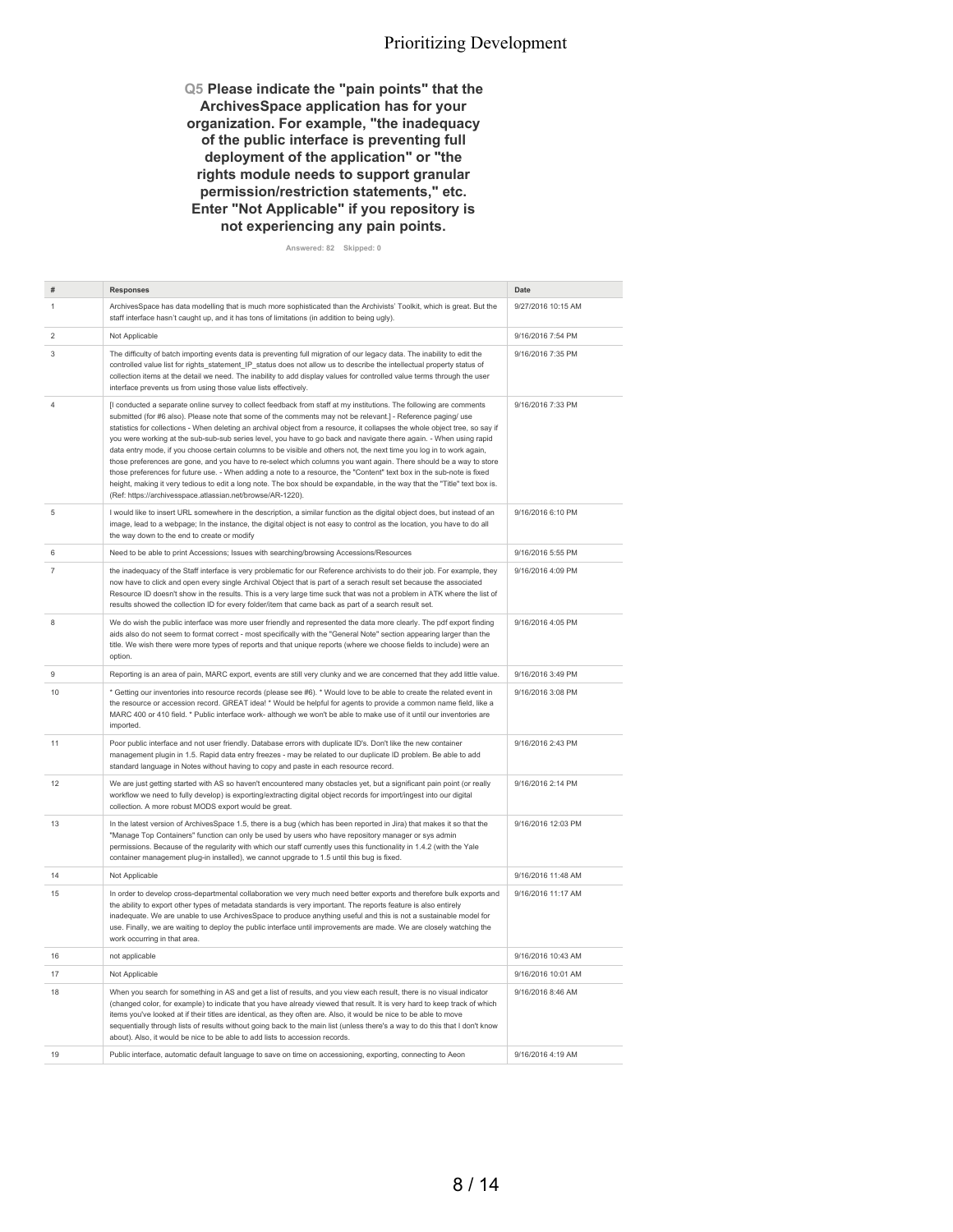**Q5 Please indicate the "pain points" that the ArchivesSpace application has for your organization. For example, "the inadequacy of the public interface is preventing full deployment of the application" or "the rights module needs to support granular permission/restriction statements," etc. Enter "Not Applicable" if you repository is not experiencing any pain points.**

**Answered: 82 Skipped: 0**

|                | <b>Responses</b>                                                                                                                                                                                                                                                                                                                                                                                                                                                                                                                                                                                                                                                                                                                                                                                                                                                                                                                                                                                                                                             | <b>Date</b>        |
|----------------|--------------------------------------------------------------------------------------------------------------------------------------------------------------------------------------------------------------------------------------------------------------------------------------------------------------------------------------------------------------------------------------------------------------------------------------------------------------------------------------------------------------------------------------------------------------------------------------------------------------------------------------------------------------------------------------------------------------------------------------------------------------------------------------------------------------------------------------------------------------------------------------------------------------------------------------------------------------------------------------------------------------------------------------------------------------|--------------------|
|                | ArchivesSpace has data modelling that is much more sophisticated than the Archivists' Toolkit, which is great. But the<br>staff interface hasn't caught up, and it has tons of limitations (in addition to being ugly).                                                                                                                                                                                                                                                                                                                                                                                                                                                                                                                                                                                                                                                                                                                                                                                                                                      | 9/27/2016 10:15 AM |
| $\overline{c}$ | Not Applicable                                                                                                                                                                                                                                                                                                                                                                                                                                                                                                                                                                                                                                                                                                                                                                                                                                                                                                                                                                                                                                               | 9/16/2016 7:54 PM  |
| 3              | The difficulty of batch importing events data is preventing full migration of our legacy data. The inability to edit the<br>controlled value list for rights_statement_IP_status does not allow us to describe the intellectual property status of<br>collection items at the detail we need. The inability to add display values for controlled value terms through the user<br>interface prevents us from using those value lists effectively.                                                                                                                                                                                                                                                                                                                                                                                                                                                                                                                                                                                                             | 9/16/2016 7:35 PM  |
| $\overline{4}$ | [I conducted a separate online survey to collect feedback from staff at my institutions. The following are comments<br>submitted (for #6 also). Please note that some of the comments may not be relevant.] - Reference paging/ use<br>statistics for collections - When deleting an archival object from a resource, it collapses the whole object tree, so say if<br>you were working at the sub-sub-sub series level, you have to go back and navigate there again. - When using rapid<br>data entry mode, if you choose certain columns to be visible and others not, the next time you log in to work again,<br>those preferences are gone, and you have to re-select which columns you want again. There should be a way to store<br>those preferences for future use. - When adding a note to a resource, the "Content" text box in the sub-note is fixed<br>height, making it very tedious to edit a long note. The box should be expandable, in the way that the "Title" text box is.<br>(Ref: https://archivesspace.atlassian.net/browse/AR-1220). | 9/16/2016 7:33 PM  |
| 5              | I would like to insert URL somewhere in the description, a similar function as the digital object does, but instead of an<br>image, lead to a webpage; In the instance, the digital object is not easy to control as the location, you have to do all<br>the way down to the end to create or modify                                                                                                                                                                                                                                                                                                                                                                                                                                                                                                                                                                                                                                                                                                                                                         | 9/16/2016 6:10 PM  |
| 6              | Need to be able to print Accessions; Issues with searching/browsing Accessions/Resources                                                                                                                                                                                                                                                                                                                                                                                                                                                                                                                                                                                                                                                                                                                                                                                                                                                                                                                                                                     | 9/16/2016 5:55 PM  |
| 7              | the inadequacy of the Staff interface is very problematic for our Reference archivists to do their job. For example, they<br>now have to click and open every single Archival Object that is part of a serach result set because the associated<br>Resource ID doesn't show in the results. This is a very large time suck that was not a problem in ATK where the list of<br>results showed the collection ID for every folder/item that came back as part of a search result set.                                                                                                                                                                                                                                                                                                                                                                                                                                                                                                                                                                          | 9/16/2016 4:09 PM  |
| 8              | We do wish the public interface was more user friendly and represented the data more clearly. The pdf export finding<br>aids also do not seem to format correct - most specifically with the "General Note" section appearing larger than the<br>title. We wish there were more types of reports and that unique reports (where we choose fields to include) were an<br>option.                                                                                                                                                                                                                                                                                                                                                                                                                                                                                                                                                                                                                                                                              | 9/16/2016 4:05 PM  |
| 9              | Reporting is an area of pain, MARC export, events are still very clunky and we are concerned that they add little value.                                                                                                                                                                                                                                                                                                                                                                                                                                                                                                                                                                                                                                                                                                                                                                                                                                                                                                                                     | 9/16/2016 3:49 PM  |
| 10             | * Getting our inventories into resource records (please see #6). * Would love to be able to create the related event in<br>the resource or accession record. GREAT idea! * Would be helpful for agents to provide a common name field, like a<br>MARC 400 or 410 field. * Public interface work- although we won't be able to make use of it until our inventories are<br>imported.                                                                                                                                                                                                                                                                                                                                                                                                                                                                                                                                                                                                                                                                          | 9/16/2016 3:08 PM  |
| 11             | Poor public interface and not user friendly. Database errors with duplicate ID's. Don't like the new container<br>management plugin in 1.5. Rapid data entry freezes - may be related to our duplicate ID problem. Be able to add<br>standard language in Notes without having to copy and paste in each resource record.                                                                                                                                                                                                                                                                                                                                                                                                                                                                                                                                                                                                                                                                                                                                    | 9/16/2016 2:43 PM  |
| 12             | We are just getting started with AS so haven't encountered many obstacles yet, but a significant pain point (or really<br>workflow we need to fully develop) is exporting/extracting digital object records for import/ingest into our digital<br>collection. A more robust MODS export would be great.                                                                                                                                                                                                                                                                                                                                                                                                                                                                                                                                                                                                                                                                                                                                                      | 9/16/2016 2:14 PM  |
| 13             | In the latest version of ArchivesSpace 1.5, there is a bug (which has been reported in Jira) that makes it so that the<br>"Manage Top Containers" function can only be used by users who have repository manager or sys admin<br>permissions. Because of the regularity with which our staff currently uses this functionality in 1.4.2 (with the Yale<br>container management plug-in installed), we cannot upgrade to 1.5 until this bug is fixed.                                                                                                                                                                                                                                                                                                                                                                                                                                                                                                                                                                                                         | 9/16/2016 12:03 PM |
| 14             | Not Applicable                                                                                                                                                                                                                                                                                                                                                                                                                                                                                                                                                                                                                                                                                                                                                                                                                                                                                                                                                                                                                                               | 9/16/2016 11:48 AM |
| 15             | In order to develop cross-departmental collaboration we very much need better exports and therefore bulk exports and<br>the ability to export other types of metadata standards is very important. The reports feature is also entirely<br>inadequate. We are unable to use ArchivesSpace to produce anything useful and this is not a sustainable model for<br>use. Finally, we are waiting to deploy the public interface until improvements are made. We are closely watching the<br>work occurring in that area.                                                                                                                                                                                                                                                                                                                                                                                                                                                                                                                                         | 9/16/2016 11:17 AM |
| 16             | not applicable                                                                                                                                                                                                                                                                                                                                                                                                                                                                                                                                                                                                                                                                                                                                                                                                                                                                                                                                                                                                                                               | 9/16/2016 10:43 AM |
| 17             | Not Applicable                                                                                                                                                                                                                                                                                                                                                                                                                                                                                                                                                                                                                                                                                                                                                                                                                                                                                                                                                                                                                                               | 9/16/2016 10:01 AM |
| 18             | When you search for something in AS and get a list of results, and you view each result, there is no visual indicator<br>(changed color, for example) to indicate that you have already viewed that result. It is very hard to keep track of which<br>items you've looked at if their titles are identical, as they often are. Also, it would be nice to be able to move<br>sequentially through lists of results without going back to the main list (unless there's a way to do this that I don't know<br>about). Also, it would be nice to be able to add lists to accession records.                                                                                                                                                                                                                                                                                                                                                                                                                                                                     | 9/16/2016 8:46 AM  |
| 19             | Public interface, automatic default language to save on time on accessioning, exporting, connecting to Aeon                                                                                                                                                                                                                                                                                                                                                                                                                                                                                                                                                                                                                                                                                                                                                                                                                                                                                                                                                  | 9/16/2016 4:19 AM  |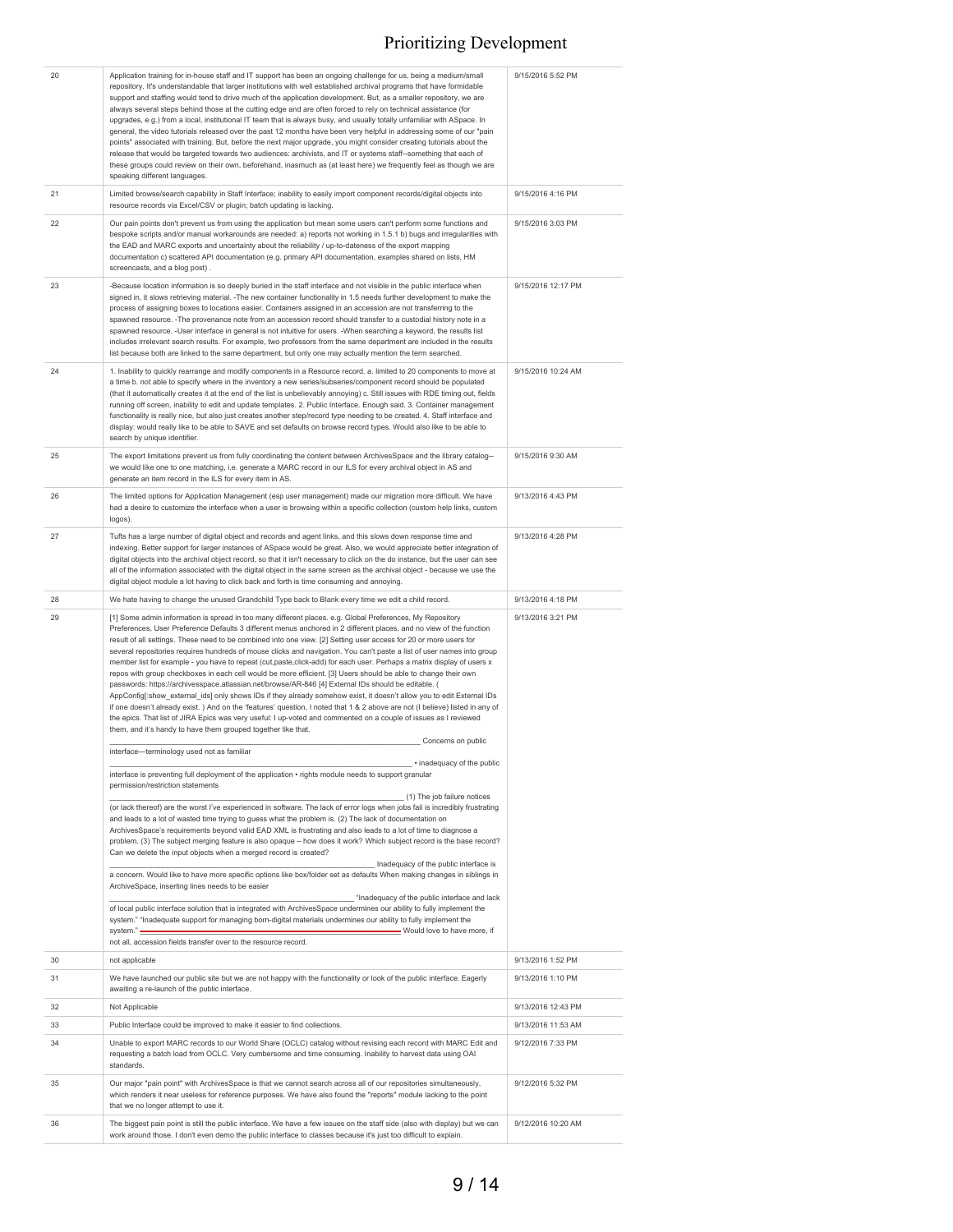| 20 | Application training for in-house staff and IT support has been an ongoing challenge for us, being a medium/small<br>repository. It's understandable that larger institutions with well established archival programs that have formidable<br>support and staffing would tend to drive much of the application development. But, as a smaller repository, we are<br>always several steps behind those at the cutting edge and are often forced to rely on technical assistance (for<br>upgrades, e.g.) from a local, institutional IT team that is always busy, and usually totally unfamiliar with ASpace. In<br>general, the video tutorials released over the past 12 months have been very helpful in addressing some of our "pain<br>points" associated with training. But, before the next major upgrade, you might consider creating tutorials about the<br>release that would be targeted towards two audiences: archivists, and IT or systems staff--something that each of<br>these groups could review on their own, beforehand, inasmuch as (at least here) we frequently feel as though we are<br>speaking different languages.                                                                                                                                                                                                                                                                                                                                                                                                                                                                                                                                                                                                                                                                                                                                                                                                                                                                                                                                                                                                                                                                                                                                                                                                   | 9/15/2016 5:52 PM  |
|----|------------------------------------------------------------------------------------------------------------------------------------------------------------------------------------------------------------------------------------------------------------------------------------------------------------------------------------------------------------------------------------------------------------------------------------------------------------------------------------------------------------------------------------------------------------------------------------------------------------------------------------------------------------------------------------------------------------------------------------------------------------------------------------------------------------------------------------------------------------------------------------------------------------------------------------------------------------------------------------------------------------------------------------------------------------------------------------------------------------------------------------------------------------------------------------------------------------------------------------------------------------------------------------------------------------------------------------------------------------------------------------------------------------------------------------------------------------------------------------------------------------------------------------------------------------------------------------------------------------------------------------------------------------------------------------------------------------------------------------------------------------------------------------------------------------------------------------------------------------------------------------------------------------------------------------------------------------------------------------------------------------------------------------------------------------------------------------------------------------------------------------------------------------------------------------------------------------------------------------------------------------------------------------------------------------------------------------------------|--------------------|
| 21 | Limited browse/search capability in Staff Interface; inability to easily import component records/digital objects into<br>resource records via Excel/CSV or plugin; batch updating is lacking.                                                                                                                                                                                                                                                                                                                                                                                                                                                                                                                                                                                                                                                                                                                                                                                                                                                                                                                                                                                                                                                                                                                                                                                                                                                                                                                                                                                                                                                                                                                                                                                                                                                                                                                                                                                                                                                                                                                                                                                                                                                                                                                                                 | 9/15/2016 4:16 PM  |
| 22 | Our pain points don't prevent us from using the application but mean some users can't perform some functions and<br>bespoke scripts and/or manual workarounds are needed: a) reports not working in 1.5.1 b) bugs and irregularities with<br>the EAD and MARC exports and uncertainty about the reliability / up-to-dateness of the export mapping<br>documentation c) scattered API documentation (e.g. primary API documentation, examples shared on lists, HM<br>screencasts, and a blog post).                                                                                                                                                                                                                                                                                                                                                                                                                                                                                                                                                                                                                                                                                                                                                                                                                                                                                                                                                                                                                                                                                                                                                                                                                                                                                                                                                                                                                                                                                                                                                                                                                                                                                                                                                                                                                                             | 9/15/2016 3:03 PM  |
| 23 | -Because location information is so deeply buried in the staff interface and not visible in the public interface when<br>signed in, it slows retrieving material. -The new container functionality in 1.5 needs further development to make the<br>process of assigning boxes to locations easier. Containers assigned in an accession are not transferring to the<br>spawned resource. -The provenance note from an accession record should transfer to a custodial history note in a<br>spawned resource. -User interface in general is not intuitive for users. -When searching a keyword, the results list<br>includes irrelevant search results. For example, two professors from the same department are included in the results<br>list because both are linked to the same department, but only one may actually mention the term searched.                                                                                                                                                                                                                                                                                                                                                                                                                                                                                                                                                                                                                                                                                                                                                                                                                                                                                                                                                                                                                                                                                                                                                                                                                                                                                                                                                                                                                                                                                            | 9/15/2016 12:17 PM |
| 24 | 1. Inability to quickly rearrange and modify components in a Resource record. a. limited to 20 components to move at<br>a time b. not able to specify where in the inventory a new series/subseries/component record should be populated<br>(that it automatically creates it at the end of the list is unbelievably annoying) c. Still issues with RDE timing out, fields<br>running off screen, inability to edit and update templates. 2. Public Interface. Enough said. 3. Container management<br>functionality is really nice, but also just creates another step/record type needing to be created. 4. Staff interface and<br>display: would really like to be able to SAVE and set defaults on browse record types. Would also like to be able to<br>search by unique identifier.                                                                                                                                                                                                                                                                                                                                                                                                                                                                                                                                                                                                                                                                                                                                                                                                                                                                                                                                                                                                                                                                                                                                                                                                                                                                                                                                                                                                                                                                                                                                                      | 9/15/2016 10:24 AM |
| 25 | The export limitations prevent us from fully coordinating the content between ArchivesSpace and the library catalog-<br>we would like one to one matching, i.e. generate a MARC record in our ILS for every archival object in AS and<br>generate an item record in the ILS for every item in AS.                                                                                                                                                                                                                                                                                                                                                                                                                                                                                                                                                                                                                                                                                                                                                                                                                                                                                                                                                                                                                                                                                                                                                                                                                                                                                                                                                                                                                                                                                                                                                                                                                                                                                                                                                                                                                                                                                                                                                                                                                                              | 9/15/2016 9:30 AM  |
| 26 | The limited options for Application Management (esp user management) made our migration more difficult. We have<br>had a desire to customize the interface when a user is browsing within a specific collection (custom help links, custom<br>logos).                                                                                                                                                                                                                                                                                                                                                                                                                                                                                                                                                                                                                                                                                                                                                                                                                                                                                                                                                                                                                                                                                                                                                                                                                                                                                                                                                                                                                                                                                                                                                                                                                                                                                                                                                                                                                                                                                                                                                                                                                                                                                          | 9/13/2016 4:43 PM  |
| 27 | Tufts has a large number of digital object and records and agent links, and this slows down response time and<br>indexing. Better support for larger instances of ASpace would be great. Also, we would appreciate better integration of<br>digital objects into the archival object record, so that it isn't necessary to click on the do instance, but the user can see<br>all of the information associated with the digital object in the same screen as the archival object - because we use the<br>digital object module a lot having to click back and forth is time consuming and annoying.                                                                                                                                                                                                                                                                                                                                                                                                                                                                                                                                                                                                                                                                                                                                                                                                                                                                                                                                                                                                                                                                                                                                                                                                                                                                                                                                                                                                                                                                                                                                                                                                                                                                                                                                            | 9/13/2016 4:28 PM  |
| 28 | We hate having to change the unused Grandchild Type back to Blank every time we edit a child record.                                                                                                                                                                                                                                                                                                                                                                                                                                                                                                                                                                                                                                                                                                                                                                                                                                                                                                                                                                                                                                                                                                                                                                                                                                                                                                                                                                                                                                                                                                                                                                                                                                                                                                                                                                                                                                                                                                                                                                                                                                                                                                                                                                                                                                           | 9/13/2016 4:18 PM  |
|    |                                                                                                                                                                                                                                                                                                                                                                                                                                                                                                                                                                                                                                                                                                                                                                                                                                                                                                                                                                                                                                                                                                                                                                                                                                                                                                                                                                                                                                                                                                                                                                                                                                                                                                                                                                                                                                                                                                                                                                                                                                                                                                                                                                                                                                                                                                                                                |                    |
| 29 | [1] Some admin information is spread in too many different places. e.g. Global Preferences, My Repository<br>Preferences, User Preference Defaults 3 different menus anchored in 2 different places, and no view of the function<br>result of all settings. These need to be combined into one view. [2] Setting user access for 20 or more users for<br>several repositories requires hundreds of mouse clicks and navigation. You can't paste a list of user names into group<br>member list for example - you have to repeat (cut,paste,click-add) for each user. Perhaps a matrix display of users x<br>repos with group checkboxes in each cell would be more efficient. [3] Users should be able to change their own<br>passwords: https://archivesspace.atlassian.net/browse/AR-846 [4] External IDs should be editable. (<br>AppConfig[:show_external_ids] only shows IDs if they already somehow exist, it doesn't allow you to edit External IDs<br>if one doesn't already exist.) And on the 'features' question, I noted that 1 & 2 above are not (I believe) listed in any of<br>the epics. That list of JIRA Epics was very useful: I up-voted and commented on a couple of issues as I reviewed<br>them, and it's handy to have them grouped together like that.<br>Concerns on public<br>interface-terminology used not as familiar<br>· inadequacy of the public<br>interface is preventing full deployment of the application · rights module needs to support granular<br>permission/restriction statements<br>(1) The job failure notices<br>(or lack thereof) are the worst I've experienced in software. The lack of error logs when jobs fail is incredibly frustrating<br>and leads to a lot of wasted time trying to guess what the problem is. (2) The lack of documentation on<br>ArchivesSpace's requirements beyond valid EAD XML is frustrating and also leads to a lot of time to diagnose a<br>problem. (3) The subject merging feature is also opaque - how does it work? Which subject record is the base record?<br>Can we delete the input objects when a merged record is created?<br>Inadequacy of the public interface is<br>a concern. Would like to have more specific options like box/folder set as defaults When making changes in siblings in<br>ArchiveSpace, inserting lines needs to be easier | 9/13/2016 3:21 PM  |
|    | "Inadequacy of the public interface and lack<br>of local public interface solution that is integrated with ArchivesSpace undermines our ability to fully implement the<br>system." "Inadequate support for managing born-digital materials undermines our ability to fully implement the<br>- Would love to have more, if<br>system." -<br>not all, accession fields transfer over to the resource record.                                                                                                                                                                                                                                                                                                                                                                                                                                                                                                                                                                                                                                                                                                                                                                                                                                                                                                                                                                                                                                                                                                                                                                                                                                                                                                                                                                                                                                                                                                                                                                                                                                                                                                                                                                                                                                                                                                                                     |                    |
| 30 | not applicable                                                                                                                                                                                                                                                                                                                                                                                                                                                                                                                                                                                                                                                                                                                                                                                                                                                                                                                                                                                                                                                                                                                                                                                                                                                                                                                                                                                                                                                                                                                                                                                                                                                                                                                                                                                                                                                                                                                                                                                                                                                                                                                                                                                                                                                                                                                                 | 9/13/2016 1:52 PM  |
| 31 | We have launched our public site but we are not happy with the functionality or look of the public interface. Eagerly<br>awaiting a re-launch of the public interface.                                                                                                                                                                                                                                                                                                                                                                                                                                                                                                                                                                                                                                                                                                                                                                                                                                                                                                                                                                                                                                                                                                                                                                                                                                                                                                                                                                                                                                                                                                                                                                                                                                                                                                                                                                                                                                                                                                                                                                                                                                                                                                                                                                         | 9/13/2016 1:10 PM  |
| 32 | Not Applicable                                                                                                                                                                                                                                                                                                                                                                                                                                                                                                                                                                                                                                                                                                                                                                                                                                                                                                                                                                                                                                                                                                                                                                                                                                                                                                                                                                                                                                                                                                                                                                                                                                                                                                                                                                                                                                                                                                                                                                                                                                                                                                                                                                                                                                                                                                                                 | 9/13/2016 12:43 PM |
| 33 | Public Interface could be improved to make it easier to find collections.                                                                                                                                                                                                                                                                                                                                                                                                                                                                                                                                                                                                                                                                                                                                                                                                                                                                                                                                                                                                                                                                                                                                                                                                                                                                                                                                                                                                                                                                                                                                                                                                                                                                                                                                                                                                                                                                                                                                                                                                                                                                                                                                                                                                                                                                      | 9/13/2016 11:53 AM |
| 34 | Unable to export MARC records to our World Share (OCLC) catalog without revising each record with MARC Edit and<br>requesting a batch load from OCLC. Very cumbersome and time consuming. Inability to harvest data using OAI<br>standards.                                                                                                                                                                                                                                                                                                                                                                                                                                                                                                                                                                                                                                                                                                                                                                                                                                                                                                                                                                                                                                                                                                                                                                                                                                                                                                                                                                                                                                                                                                                                                                                                                                                                                                                                                                                                                                                                                                                                                                                                                                                                                                    | 9/12/2016 7:33 PM  |
| 35 | Our major "pain point" with ArchivesSpace is that we cannot search across all of our repositories simultaneously,<br>which renders it near useless for reference purposes. We have also found the "reports" module lacking to the point<br>that we no longer attempt to use it.                                                                                                                                                                                                                                                                                                                                                                                                                                                                                                                                                                                                                                                                                                                                                                                                                                                                                                                                                                                                                                                                                                                                                                                                                                                                                                                                                                                                                                                                                                                                                                                                                                                                                                                                                                                                                                                                                                                                                                                                                                                                | 9/12/2016 5:32 PM  |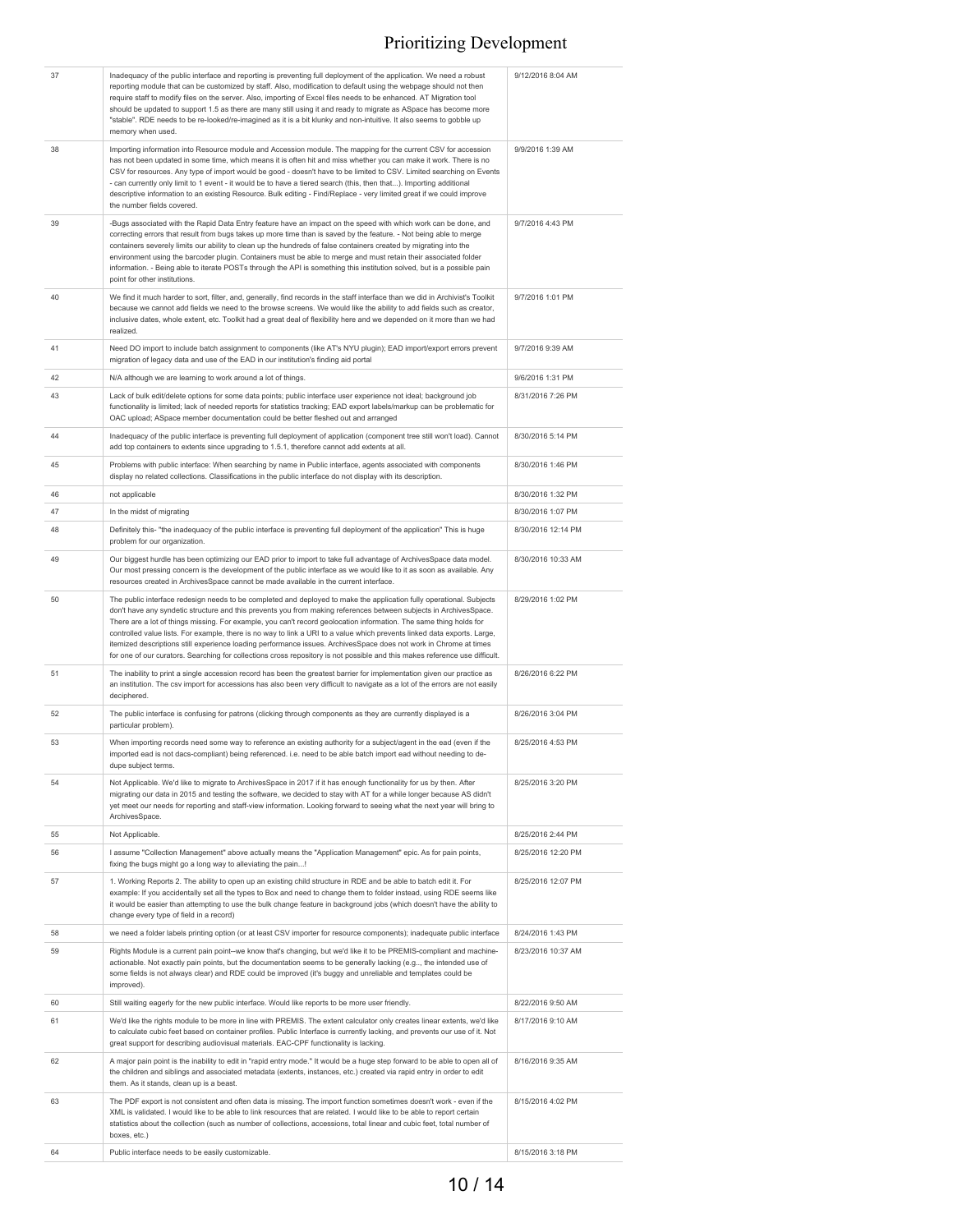| 37 | Inadequacy of the public interface and reporting is preventing full deployment of the application. We need a robust<br>reporting module that can be customized by staff. Also, modification to default using the webpage should not then<br>require staff to modify files on the server. Also, importing of Excel files needs to be enhanced. AT Migration tool<br>should be updated to support 1.5 as there are many still using it and ready to migrate as ASpace has become more<br>"stable". RDE needs to be re-looked/re-imagined as it is a bit klunky and non-intuitive. It also seems to gobble up<br>memory when used.                                                                                                                 | 9/12/2016 8:04 AM  |
|----|-------------------------------------------------------------------------------------------------------------------------------------------------------------------------------------------------------------------------------------------------------------------------------------------------------------------------------------------------------------------------------------------------------------------------------------------------------------------------------------------------------------------------------------------------------------------------------------------------------------------------------------------------------------------------------------------------------------------------------------------------|--------------------|
| 38 | Importing information into Resource module and Accession module. The mapping for the current CSV for accession<br>has not been updated in some time, which means it is often hit and miss whether you can make it work. There is no<br>CSV for resources. Any type of import would be good - doesn't have to be limited to CSV. Limited searching on Events<br>- can currently only limit to 1 event - it would be to have a tiered search (this, then that). Importing additional<br>descriptive information to an existing Resource. Bulk editing - Find/Replace - very limited great if we could improve<br>the number fields covered.                                                                                                       | 9/9/2016 1:39 AM   |
| 39 | -Bugs associated with the Rapid Data Entry feature have an impact on the speed with which work can be done, and<br>correcting errors that result from bugs takes up more time than is saved by the feature. - Not being able to merge<br>containers severely limits our ability to clean up the hundreds of false containers created by migrating into the<br>environment using the barcoder plugin. Containers must be able to merge and must retain their associated folder<br>information. - Being able to iterate POSTs through the API is something this institution solved, but is a possible pain<br>point for other institutions.                                                                                                       | 9/7/2016 4:43 PM   |
| 40 | We find it much harder to sort, filter, and, generally, find records in the staff interface than we did in Archivist's Toolkit<br>because we cannot add fields we need to the browse screens. We would like the ability to add fields such as creator,<br>inclusive dates, whole extent, etc. Toolkit had a great deal of flexibility here and we depended on it more than we had<br>realized.                                                                                                                                                                                                                                                                                                                                                  | 9/7/2016 1:01 PM   |
| 41 | Need DO import to include batch assignment to components (like AT's NYU plugin); EAD import/export errors prevent<br>migration of legacy data and use of the EAD in our institution's finding aid portal                                                                                                                                                                                                                                                                                                                                                                                                                                                                                                                                        | 9/7/2016 9:39 AM   |
| 42 | N/A although we are learning to work around a lot of things.                                                                                                                                                                                                                                                                                                                                                                                                                                                                                                                                                                                                                                                                                    | 9/6/2016 1:31 PM   |
| 43 | Lack of bulk edit/delete options for some data points; public interface user experience not ideal; background job<br>functionality is limited; lack of needed reports for statistics tracking; EAD export labels/markup can be problematic for<br>OAC upload; ASpace member documentation could be better fleshed out and arranged                                                                                                                                                                                                                                                                                                                                                                                                              | 8/31/2016 7:26 PM  |
| 44 | Inadequacy of the public interface is preventing full deployment of application (component tree still won't load). Cannot<br>add top containers to extents since upgrading to 1.5.1, therefore cannot add extents at all.                                                                                                                                                                                                                                                                                                                                                                                                                                                                                                                       | 8/30/2016 5:14 PM  |
| 45 | Problems with public interface: When searching by name in Public interface, agents associated with components<br>display no related collections. Classifications in the public interface do not display with its description.                                                                                                                                                                                                                                                                                                                                                                                                                                                                                                                   | 8/30/2016 1:46 PM  |
| 46 | not applicable                                                                                                                                                                                                                                                                                                                                                                                                                                                                                                                                                                                                                                                                                                                                  | 8/30/2016 1:32 PM  |
| 47 | In the midst of migrating                                                                                                                                                                                                                                                                                                                                                                                                                                                                                                                                                                                                                                                                                                                       | 8/30/2016 1:07 PM  |
| 48 | Definitely this- "the inadequacy of the public interface is preventing full deployment of the application" This is huge<br>problem for our organization.                                                                                                                                                                                                                                                                                                                                                                                                                                                                                                                                                                                        | 8/30/2016 12:14 PM |
| 49 | Our biggest hurdle has been optimizing our EAD prior to import to take full advantage of ArchivesSpace data model.<br>Our most pressing concern is the development of the public interface as we would like to it as soon as available. Any<br>resources created in ArchivesSpace cannot be made available in the current interface.                                                                                                                                                                                                                                                                                                                                                                                                            | 8/30/2016 10:33 AM |
| 50 | The public interface redesign needs to be completed and deployed to make the application fully operational. Subjects<br>don't have any syndetic structure and this prevents you from making references between subjects in ArchivesSpace.<br>There are a lot of things missing. For example, you can't record geolocation information. The same thing holds for<br>controlled value lists. For example, there is no way to link a URI to a value which prevents linked data exports. Large,<br>itemized descriptions still experience loading performance issues. ArchivesSpace does not work in Chrome at times<br>for one of our curators. Searching for collections cross repository is not possible and this makes reference use difficult. | 8/29/2016 1:02 PM  |
| 51 | The inability to print a single accession record has been the greatest barrier for implementation given our practice as<br>an institution. The csv import for accessions has also been very difficult to navigate as a lot of the errors are not easily<br>deciphered.                                                                                                                                                                                                                                                                                                                                                                                                                                                                          | 8/26/2016 6:22 PM  |
| 52 | The public interface is confusing for patrons (clicking through components as they are currently displayed is a<br>particular problem).                                                                                                                                                                                                                                                                                                                                                                                                                                                                                                                                                                                                         | 8/26/2016 3:04 PM  |
| 53 | When importing records need some way to reference an existing authority for a subject/agent in the ead (even if the<br>imported ead is not dacs-compliant) being referenced. i.e. need to be able batch import ead without needing to de-<br>dupe subject terms.                                                                                                                                                                                                                                                                                                                                                                                                                                                                                | 8/25/2016 4:53 PM  |
| 54 | Not Applicable. We'd like to migrate to ArchivesSpace in 2017 if it has enough functionality for us by then. After<br>migrating our data in 2015 and testing the software, we decided to stay with AT for a while longer because AS didn't<br>yet meet our needs for reporting and staff-view information. Looking forward to seeing what the next year will bring to<br>ArchivesSpace.                                                                                                                                                                                                                                                                                                                                                         | 8/25/2016 3:20 PM  |
| 55 | Not Applicable.                                                                                                                                                                                                                                                                                                                                                                                                                                                                                                                                                                                                                                                                                                                                 | 8/25/2016 2:44 PM  |
| 56 | I assume "Collection Management" above actually means the "Application Management" epic. As for pain points,<br>fixing the bugs might go a long way to alleviating the pain!                                                                                                                                                                                                                                                                                                                                                                                                                                                                                                                                                                    | 8/25/2016 12:20 PM |
| 57 | 1. Working Reports 2. The ability to open up an existing child structure in RDE and be able to batch edit it. For<br>example: If you accidentally set all the types to Box and need to change them to folder instead, using RDE seems like<br>it would be easier than attempting to use the bulk change feature in background jobs (which doesn't have the ability to<br>change every type of field in a record)                                                                                                                                                                                                                                                                                                                                | 8/25/2016 12:07 PM |
| 58 | we need a folder labels printing option (or at least CSV importer for resource components); inadequate public interface                                                                                                                                                                                                                                                                                                                                                                                                                                                                                                                                                                                                                         | 8/24/2016 1:43 PM  |
| 59 | Rights Module is a current pain point--we know that's changing, but we'd like it to be PREMIS-compliant and machine-<br>actionable. Not exactly pain points, but the documentation seems to be generally lacking (e.g.,, the intended use of<br>some fields is not always clear) and RDE could be improved (it's buggy and unreliable and templates could be<br>improved).                                                                                                                                                                                                                                                                                                                                                                      | 8/23/2016 10:37 AM |
| 60 | Still waiting eagerly for the new public interface. Would like reports to be more user friendly.                                                                                                                                                                                                                                                                                                                                                                                                                                                                                                                                                                                                                                                | 8/22/2016 9:50 AM  |
| 61 | We'd like the rights module to be more in line with PREMIS. The extent calculator only creates linear extents, we'd like<br>to calculate cubic feet based on container profiles. Public Interface is currently lacking, and prevents our use of it. Not<br>great support for describing audiovisual materials. EAC-CPF functionality is lacking.                                                                                                                                                                                                                                                                                                                                                                                                | 8/17/2016 9:10 AM  |
| 62 | A major pain point is the inability to edit in "rapid entry mode." It would be a huge step forward to be able to open all of<br>the children and siblings and associated metadata (extents, instances, etc.) created via rapid entry in order to edit<br>them. As it stands, clean up is a beast.                                                                                                                                                                                                                                                                                                                                                                                                                                               | 8/16/2016 9:35 AM  |
| 63 | The PDF export is not consistent and often data is missing. The import function sometimes doesn't work - even if the<br>XML is validated. I would like to be able to link resources that are related. I would like to be able to report certain<br>statistics about the collection (such as number of collections, accessions, total linear and cubic feet, total number of<br>boxes, etc.)                                                                                                                                                                                                                                                                                                                                                     | 8/15/2016 4:02 PM  |
| 64 | Public interface needs to be easily customizable.                                                                                                                                                                                                                                                                                                                                                                                                                                                                                                                                                                                                                                                                                               | 8/15/2016 3:18 PM  |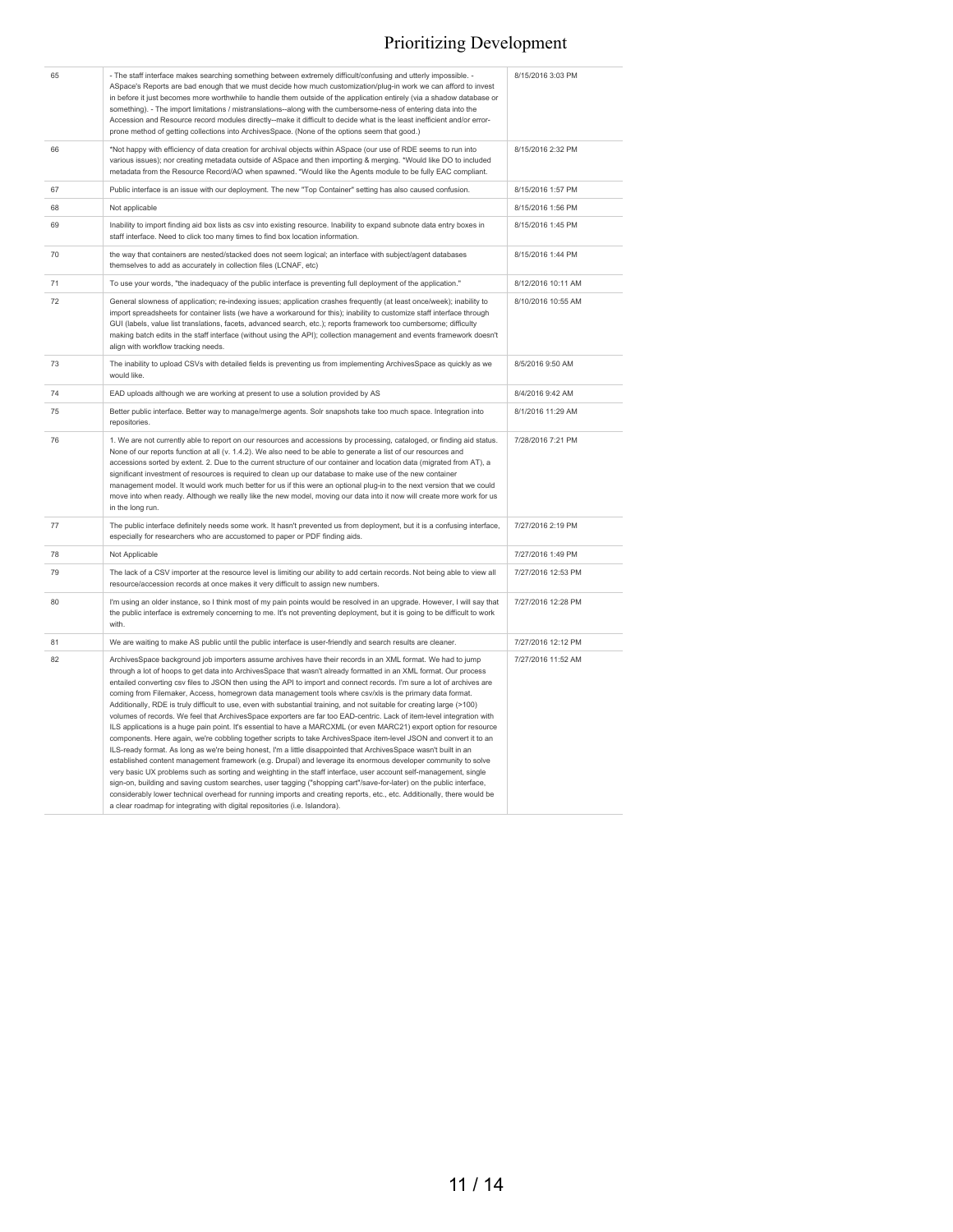| 65 | - The staff interface makes searching something between extremely difficult/confusing and utterly impossible. -<br>ASpace's Reports are bad enough that we must decide how much customization/plug-in work we can afford to invest<br>in before it just becomes more worthwhile to handle them outside of the application entirely (via a shadow database or<br>something). - The import limitations / mistranslations--along with the cumbersome-ness of entering data into the<br>Accession and Resource record modules directly--make it difficult to decide what is the least inefficient and/or error-<br>prone method of getting collections into ArchivesSpace. (None of the options seem that good.)                                                                                                                                                                                                                                                                                                                                                                                                                                                                                                                                                                                                                                                                                                                                                                                                                                                                                                                                                       | 8/15/2016 3:03 PM  |
|----|--------------------------------------------------------------------------------------------------------------------------------------------------------------------------------------------------------------------------------------------------------------------------------------------------------------------------------------------------------------------------------------------------------------------------------------------------------------------------------------------------------------------------------------------------------------------------------------------------------------------------------------------------------------------------------------------------------------------------------------------------------------------------------------------------------------------------------------------------------------------------------------------------------------------------------------------------------------------------------------------------------------------------------------------------------------------------------------------------------------------------------------------------------------------------------------------------------------------------------------------------------------------------------------------------------------------------------------------------------------------------------------------------------------------------------------------------------------------------------------------------------------------------------------------------------------------------------------------------------------------------------------------------------------------|--------------------|
| 66 | *Not happy with efficiency of data creation for archival objects within ASpace (our use of RDE seems to run into<br>various issues); nor creating metadata outside of ASpace and then importing & merging. *Would like DO to included<br>metadata from the Resource Record/AO when spawned. *Would like the Agents module to be fully EAC compliant.                                                                                                                                                                                                                                                                                                                                                                                                                                                                                                                                                                                                                                                                                                                                                                                                                                                                                                                                                                                                                                                                                                                                                                                                                                                                                                               | 8/15/2016 2:32 PM  |
| 67 | Public interface is an issue with our deployment. The new "Top Container" setting has also caused confusion.                                                                                                                                                                                                                                                                                                                                                                                                                                                                                                                                                                                                                                                                                                                                                                                                                                                                                                                                                                                                                                                                                                                                                                                                                                                                                                                                                                                                                                                                                                                                                       | 8/15/2016 1:57 PM  |
| 68 | Not applicable                                                                                                                                                                                                                                                                                                                                                                                                                                                                                                                                                                                                                                                                                                                                                                                                                                                                                                                                                                                                                                                                                                                                                                                                                                                                                                                                                                                                                                                                                                                                                                                                                                                     | 8/15/2016 1:56 PM  |
| 69 | Inability to import finding aid box lists as csv into existing resource. Inability to expand subnote data entry boxes in<br>staff interface. Need to click too many times to find box location information.                                                                                                                                                                                                                                                                                                                                                                                                                                                                                                                                                                                                                                                                                                                                                                                                                                                                                                                                                                                                                                                                                                                                                                                                                                                                                                                                                                                                                                                        | 8/15/2016 1:45 PM  |
| 70 | the way that containers are nested/stacked does not seem logical; an interface with subject/agent databases<br>themselves to add as accurately in collection files (LCNAF, etc)                                                                                                                                                                                                                                                                                                                                                                                                                                                                                                                                                                                                                                                                                                                                                                                                                                                                                                                                                                                                                                                                                                                                                                                                                                                                                                                                                                                                                                                                                    | 8/15/2016 1:44 PM  |
| 71 | To use your words, "the inadequacy of the public interface is preventing full deployment of the application."                                                                                                                                                                                                                                                                                                                                                                                                                                                                                                                                                                                                                                                                                                                                                                                                                                                                                                                                                                                                                                                                                                                                                                                                                                                                                                                                                                                                                                                                                                                                                      | 8/12/2016 10:11 AM |
| 72 | General slowness of application; re-indexing issues; application crashes frequently (at least once/week); inability to<br>import spreadsheets for container lists (we have a workaround for this); inability to customize staff interface through<br>GUI (labels, value list translations, facets, advanced search, etc.); reports framework too cumbersome; difficulty<br>making batch edits in the staff interface (without using the API); collection management and events framework doesn't<br>align with workflow tracking needs.                                                                                                                                                                                                                                                                                                                                                                                                                                                                                                                                                                                                                                                                                                                                                                                                                                                                                                                                                                                                                                                                                                                            | 8/10/2016 10:55 AM |
| 73 | The inability to upload CSVs with detailed fields is preventing us from implementing ArchivesSpace as quickly as we<br>would like.                                                                                                                                                                                                                                                                                                                                                                                                                                                                                                                                                                                                                                                                                                                                                                                                                                                                                                                                                                                                                                                                                                                                                                                                                                                                                                                                                                                                                                                                                                                                 | 8/5/2016 9:50 AM   |
| 74 | EAD uploads although we are working at present to use a solution provided by AS                                                                                                                                                                                                                                                                                                                                                                                                                                                                                                                                                                                                                                                                                                                                                                                                                                                                                                                                                                                                                                                                                                                                                                                                                                                                                                                                                                                                                                                                                                                                                                                    | 8/4/2016 9:42 AM   |
| 75 | Better public interface. Better way to manage/merge agents. Solr snapshots take too much space. Integration into<br>repositories.                                                                                                                                                                                                                                                                                                                                                                                                                                                                                                                                                                                                                                                                                                                                                                                                                                                                                                                                                                                                                                                                                                                                                                                                                                                                                                                                                                                                                                                                                                                                  | 8/1/2016 11:29 AM  |
| 76 | 1. We are not currently able to report on our resources and accessions by processing, cataloged, or finding aid status.<br>None of our reports function at all (v. 1.4.2). We also need to be able to generate a list of our resources and<br>accessions sorted by extent. 2. Due to the current structure of our container and location data (migrated from AT), a<br>significant investment of resources is required to clean up our database to make use of the new container<br>management model. It would work much better for us if this were an optional plug-in to the next version that we could<br>move into when ready. Although we really like the new model, moving our data into it now will create more work for us<br>in the long run.                                                                                                                                                                                                                                                                                                                                                                                                                                                                                                                                                                                                                                                                                                                                                                                                                                                                                                             | 7/28/2016 7:21 PM  |
| 77 | The public interface definitely needs some work. It hasn't prevented us from deployment, but it is a confusing interface,<br>especially for researchers who are accustomed to paper or PDF finding aids.                                                                                                                                                                                                                                                                                                                                                                                                                                                                                                                                                                                                                                                                                                                                                                                                                                                                                                                                                                                                                                                                                                                                                                                                                                                                                                                                                                                                                                                           | 7/27/2016 2:19 PM  |
| 78 | Not Applicable                                                                                                                                                                                                                                                                                                                                                                                                                                                                                                                                                                                                                                                                                                                                                                                                                                                                                                                                                                                                                                                                                                                                                                                                                                                                                                                                                                                                                                                                                                                                                                                                                                                     | 7/27/2016 1:49 PM  |
| 79 | The lack of a CSV importer at the resource level is limiting our ability to add certain records. Not being able to view all<br>resource/accession records at once makes it very difficult to assign new numbers.                                                                                                                                                                                                                                                                                                                                                                                                                                                                                                                                                                                                                                                                                                                                                                                                                                                                                                                                                                                                                                                                                                                                                                                                                                                                                                                                                                                                                                                   | 7/27/2016 12:53 PM |
| 80 | I'm using an older instance, so I think most of my pain points would be resolved in an upgrade. However, I will say that<br>the public interface is extremely concerning to me. It's not preventing deployment, but it is going to be difficult to work<br>with.                                                                                                                                                                                                                                                                                                                                                                                                                                                                                                                                                                                                                                                                                                                                                                                                                                                                                                                                                                                                                                                                                                                                                                                                                                                                                                                                                                                                   | 7/27/2016 12:28 PM |
| 81 | We are waiting to make AS public until the public interface is user-friendly and search results are cleaner.                                                                                                                                                                                                                                                                                                                                                                                                                                                                                                                                                                                                                                                                                                                                                                                                                                                                                                                                                                                                                                                                                                                                                                                                                                                                                                                                                                                                                                                                                                                                                       | 7/27/2016 12:12 PM |
| 82 | ArchivesSpace background job importers assume archives have their records in an XML format. We had to jump<br>through a lot of hoops to get data into ArchivesSpace that wasn't already formatted in an XML format. Our process<br>entailed converting csv files to JSON then using the API to import and connect records. I'm sure a lot of archives are<br>coming from Filemaker, Access, homegrown data management tools where csv/xls is the primary data format.<br>Additionally, RDE is truly difficult to use, even with substantial training, and not suitable for creating large (>100)<br>volumes of records. We feel that ArchivesSpace exporters are far too EAD-centric. Lack of item-level integration with<br>ILS applications is a huge pain point. It's essential to have a MARCXML (or even MARC21) export option for resource<br>components. Here again, we're cobbling together scripts to take ArchivesSpace item-level JSON and convert it to an<br>ILS-ready format. As long as we're being honest, I'm a little disappointed that ArchivesSpace wasn't built in an<br>established content management framework (e.g. Drupal) and leverage its enormous developer community to solve<br>very basic UX problems such as sorting and weighting in the staff interface, user account self-management, single<br>sign-on, building and saving custom searches, user tagging ("shopping cart"/save-for-later) on the public interface,<br>considerably lower technical overhead for running imports and creating reports, etc., etc. Additionally, there would be<br>a clear roadmap for integrating with digital repositories (i.e. Islandora). | 7/27/2016 11:52 AM |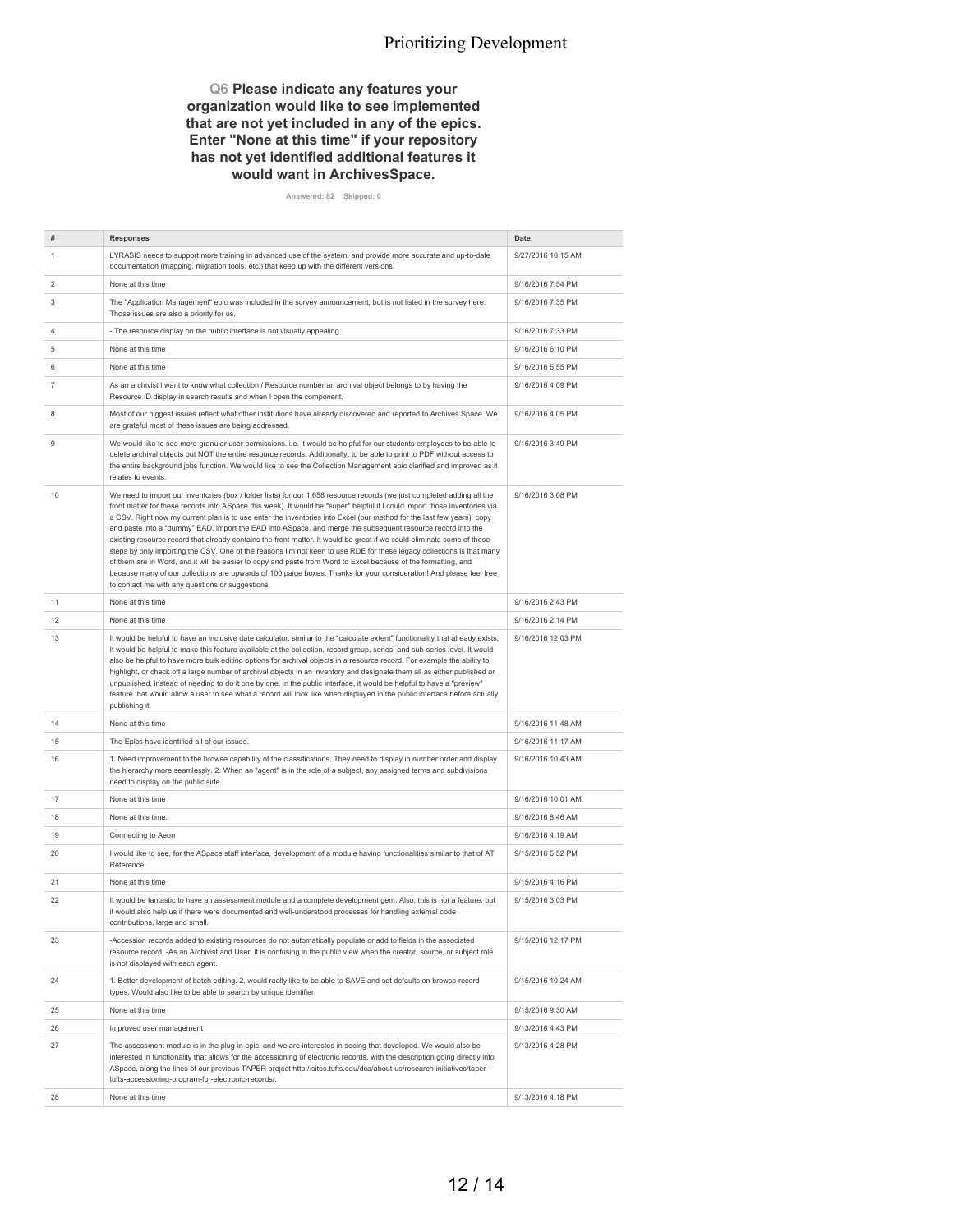#### **Q6 Please indicate any features your organization would like to see implemented that are not yet included in any of the epics. Enter "None at this time" if your repository has not yet identified additional features it would want in ArchivesSpace.**

**Answered: 82 Skipped: 0**

| #  | <b>Responses</b>                                                                                                                                                                                                                                                                                                                                                                                                                                                                                                                                                                                                                                                                                                                                                                                                                                                                                                                                                                                                                              | <b>Date</b>        |
|----|-----------------------------------------------------------------------------------------------------------------------------------------------------------------------------------------------------------------------------------------------------------------------------------------------------------------------------------------------------------------------------------------------------------------------------------------------------------------------------------------------------------------------------------------------------------------------------------------------------------------------------------------------------------------------------------------------------------------------------------------------------------------------------------------------------------------------------------------------------------------------------------------------------------------------------------------------------------------------------------------------------------------------------------------------|--------------------|
| 1  | LYRASIS needs to support more training in advanced use of the system, and provide more accurate and up-to-date<br>documentation (mapping, migration tools, etc.) that keep up with the different versions.                                                                                                                                                                                                                                                                                                                                                                                                                                                                                                                                                                                                                                                                                                                                                                                                                                    | 9/27/2016 10:15 AM |
| 2  | None at this time                                                                                                                                                                                                                                                                                                                                                                                                                                                                                                                                                                                                                                                                                                                                                                                                                                                                                                                                                                                                                             | 9/16/2016 7:54 PM  |
| 3  | The "Application Management" epic was included in the survey announcement, but is not listed in the survey here.<br>Those issues are also a priority for us.                                                                                                                                                                                                                                                                                                                                                                                                                                                                                                                                                                                                                                                                                                                                                                                                                                                                                  | 9/16/2016 7:35 PM  |
| 4  | - The resource display on the public interface is not visually appealing.                                                                                                                                                                                                                                                                                                                                                                                                                                                                                                                                                                                                                                                                                                                                                                                                                                                                                                                                                                     | 9/16/2016 7:33 PM  |
| 5  | None at this time                                                                                                                                                                                                                                                                                                                                                                                                                                                                                                                                                                                                                                                                                                                                                                                                                                                                                                                                                                                                                             | 9/16/2016 6:10 PM  |
| 6  | None at this time                                                                                                                                                                                                                                                                                                                                                                                                                                                                                                                                                                                                                                                                                                                                                                                                                                                                                                                                                                                                                             | 9/16/2016 5:55 PM  |
| 7  | As an archivist I want to know what collection / Resource number an archival object belongs to by having the<br>Resource ID display in search results and when I open the component.                                                                                                                                                                                                                                                                                                                                                                                                                                                                                                                                                                                                                                                                                                                                                                                                                                                          | 9/16/2016 4:09 PM  |
| 8  | Most of our biggest issues reflect what other institutions have already discovered and reported to Archives Space. We<br>are grateful most of these issues are being addressed.                                                                                                                                                                                                                                                                                                                                                                                                                                                                                                                                                                                                                                                                                                                                                                                                                                                               | 9/16/2016 4:05 PM  |
| 9  | We would like to see more granular user permissions. i.e. it would be helpful for our students employees to be able to<br>delete archival objects but NOT the entire resource records. Additionally, to be able to print to PDF without access to<br>the entire background jobs function. We would like to see the Collection Management epic clarified and improved as it<br>relates to events.                                                                                                                                                                                                                                                                                                                                                                                                                                                                                                                                                                                                                                              | 9/16/2016 3:49 PM  |
| 10 | We need to import our inventories (box / folder lists) for our 1,658 resource records (we just completed adding all the<br>front matter for these records into ASpace this week). It would be *super* helpful if I could import those inventories via<br>a CSV. Right now my current plan is to use enter the inventories into Excel (our method for the last few years), copy<br>and paste into a "dummy" EAD, import the EAD into ASpace, and merge the subsequent resource record into the<br>existing resource record that already contains the front matter. It would be great if we could eliminate some of these<br>steps by only importing the CSV. One of the reasons I'm not keen to use RDE for these legacy collections is that many<br>of them are in Word, and it will be easier to copy and paste from Word to Excel because of the formatting, and<br>because many of our collections are upwards of 100 paige boxes. Thanks for your consideration! And please feel free<br>to contact me with any questions or suggestions. | 9/16/2016 3:08 PM  |
| 11 | None at this time                                                                                                                                                                                                                                                                                                                                                                                                                                                                                                                                                                                                                                                                                                                                                                                                                                                                                                                                                                                                                             | 9/16/2016 2:43 PM  |
| 12 | None at this time                                                                                                                                                                                                                                                                                                                                                                                                                                                                                                                                                                                                                                                                                                                                                                                                                                                                                                                                                                                                                             | 9/16/2016 2:14 PM  |
| 13 | It would be helpful to have an inclusive date calculator, similar to the "calculate extent" functionality that already exists.<br>It would be helpful to make this feature available at the collection, record group, series, and sub-series level. It would<br>also be helpful to have more bulk editing options for archival objects in a resource record. For example the ability to<br>highlight, or check off a large number of archival objects in an inventory and designate them all as either published or<br>unpublished, instead of needing to do it one by one. In the public interface, it would be helpful to have a "preview"<br>feature that would allow a user to see what a record will look like when displayed in the public interface before actually<br>publishing it.                                                                                                                                                                                                                                                  | 9/16/2016 12:03 PM |
| 14 | None at this time                                                                                                                                                                                                                                                                                                                                                                                                                                                                                                                                                                                                                                                                                                                                                                                                                                                                                                                                                                                                                             | 9/16/2016 11:48 AM |
| 15 | The Epics have identified all of our issues.                                                                                                                                                                                                                                                                                                                                                                                                                                                                                                                                                                                                                                                                                                                                                                                                                                                                                                                                                                                                  | 9/16/2016 11:17 AM |
| 16 | 1. Need improvement to the browse capability of the classifications. They need to display in number order and display<br>the hierarchy more seamlessly. 2. When an "agent" is in the role of a subject, any assigned terms and subdivisions<br>need to display on the public side.                                                                                                                                                                                                                                                                                                                                                                                                                                                                                                                                                                                                                                                                                                                                                            | 9/16/2016 10:43 AM |
| 17 | None at this time                                                                                                                                                                                                                                                                                                                                                                                                                                                                                                                                                                                                                                                                                                                                                                                                                                                                                                                                                                                                                             | 9/16/2016 10:01 AM |
| 18 | None at this time.                                                                                                                                                                                                                                                                                                                                                                                                                                                                                                                                                                                                                                                                                                                                                                                                                                                                                                                                                                                                                            | 9/16/2016 8:46 AM  |
| 19 | Connecting to Aeon                                                                                                                                                                                                                                                                                                                                                                                                                                                                                                                                                                                                                                                                                                                                                                                                                                                                                                                                                                                                                            | 9/16/2016 4:19 AM  |
| 20 | I would like to see, for the ASpace staff interface, development of a module having functionalities similar to that of AT<br>Reference.                                                                                                                                                                                                                                                                                                                                                                                                                                                                                                                                                                                                                                                                                                                                                                                                                                                                                                       | 9/15/2016 5:52 PM  |
| 21 | None at this time                                                                                                                                                                                                                                                                                                                                                                                                                                                                                                                                                                                                                                                                                                                                                                                                                                                                                                                                                                                                                             | 9/15/2016 4:16 PM  |
| 22 | It would be fantastic to have an assessment module and a complete development gem. Also, this is not a feature, but<br>it would also help us if there were documented and well-understood processes for handling external code<br>contributions, large and small.                                                                                                                                                                                                                                                                                                                                                                                                                                                                                                                                                                                                                                                                                                                                                                             | 9/15/2016 3:03 PM  |
| 23 | -Accession records added to existing resources do not automatically populate or add to fields in the associated<br>resource record. -As an Archivist and User, it is confusing in the public view when the creator, source, or subject role<br>is not displayed with each agent.                                                                                                                                                                                                                                                                                                                                                                                                                                                                                                                                                                                                                                                                                                                                                              | 9/15/2016 12:17 PM |
| 24 | 1. Better development of batch editing. 2. would really like to be able to SAVE and set defaults on browse record<br>types. Would also like to be able to search by unique identifier.                                                                                                                                                                                                                                                                                                                                                                                                                                                                                                                                                                                                                                                                                                                                                                                                                                                        | 9/15/2016 10:24 AM |
| 25 | None at this time                                                                                                                                                                                                                                                                                                                                                                                                                                                                                                                                                                                                                                                                                                                                                                                                                                                                                                                                                                                                                             | 9/15/2016 9:30 AM  |
| 26 | Improved user management                                                                                                                                                                                                                                                                                                                                                                                                                                                                                                                                                                                                                                                                                                                                                                                                                                                                                                                                                                                                                      | 9/13/2016 4:43 PM  |
| 27 | The assessment module is in the plug-in epic, and we are interested in seeing that developed. We would also be<br>interested in functionality that allows for the accessioning of electronic records, with the description going directly into<br>ASpace, along the lines of our previous TAPER project http://sites.tufts.edu/dca/about-us/research-initiatives/taper-<br>tufts-accessioning-program-for-electronic-records/.                                                                                                                                                                                                                                                                                                                                                                                                                                                                                                                                                                                                                | 9/13/2016 4:28 PM  |
| 28 | None at this time                                                                                                                                                                                                                                                                                                                                                                                                                                                                                                                                                                                                                                                                                                                                                                                                                                                                                                                                                                                                                             | 9/13/2016 4:18 PM  |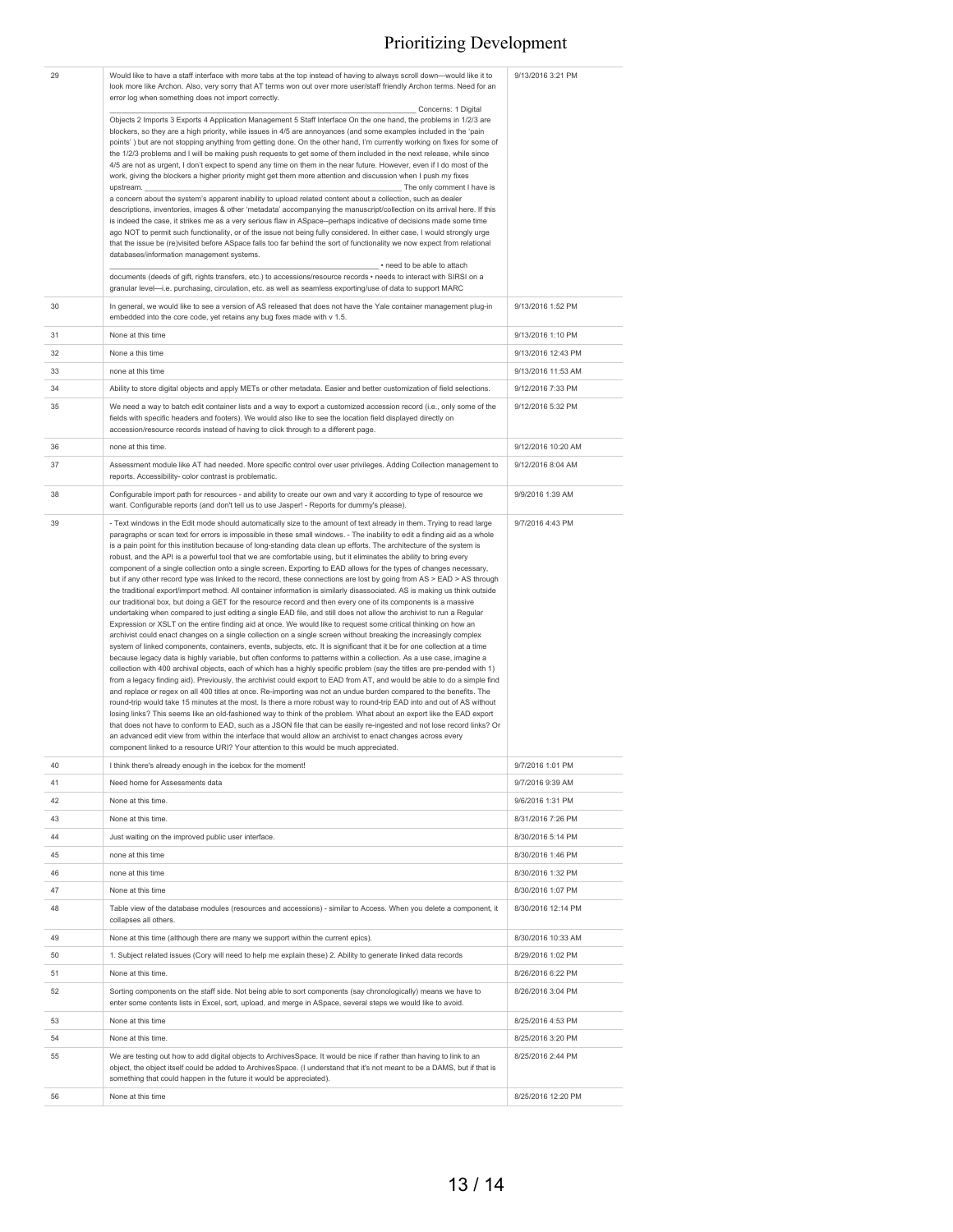| 29 | Would like to have a staff interface with more tabs at the top instead of having to always scroll down-would like it to<br>look more like Archon. Also, very sorry that AT terms won out over more user/staff friendly Archon terms. Need for an<br>error log when something does not import correctly.                                                                                                                                                                                                                                                                                                                                                                                                                                                                                                                                                                                                                                                                                                                                                                                                                                                                                                                                                                                                                                                                                                                                                                                                                                                                                                                                                                                                                                                                                                                                                                                                                                                                                                                                                                                                                                                                                                                                                                                                                                                                                                                                                                                                                                                                                | 9/13/2016 3:21 PM  |
|----|----------------------------------------------------------------------------------------------------------------------------------------------------------------------------------------------------------------------------------------------------------------------------------------------------------------------------------------------------------------------------------------------------------------------------------------------------------------------------------------------------------------------------------------------------------------------------------------------------------------------------------------------------------------------------------------------------------------------------------------------------------------------------------------------------------------------------------------------------------------------------------------------------------------------------------------------------------------------------------------------------------------------------------------------------------------------------------------------------------------------------------------------------------------------------------------------------------------------------------------------------------------------------------------------------------------------------------------------------------------------------------------------------------------------------------------------------------------------------------------------------------------------------------------------------------------------------------------------------------------------------------------------------------------------------------------------------------------------------------------------------------------------------------------------------------------------------------------------------------------------------------------------------------------------------------------------------------------------------------------------------------------------------------------------------------------------------------------------------------------------------------------------------------------------------------------------------------------------------------------------------------------------------------------------------------------------------------------------------------------------------------------------------------------------------------------------------------------------------------------------------------------------------------------------------------------------------------------|--------------------|
|    | Concerns: 1 Digital<br>Objects 2 Imports 3 Exports 4 Application Management 5 Staff Interface On the one hand, the problems in 1/2/3 are<br>blockers, so they are a high priority, while issues in 4/5 are annoyances (and some examples included in the 'pain<br>points') but are not stopping anything from getting done. On the other hand, I'm currently working on fixes for some of<br>the 1/2/3 problems and I will be making push requests to get some of them included in the next release, while since<br>4/5 are not as urgent, I don't expect to spend any time on them in the near future. However, even if I do most of the<br>work, giving the blockers a higher priority might get them more attention and discussion when I push my fixes                                                                                                                                                                                                                                                                                                                                                                                                                                                                                                                                                                                                                                                                                                                                                                                                                                                                                                                                                                                                                                                                                                                                                                                                                                                                                                                                                                                                                                                                                                                                                                                                                                                                                                                                                                                                                             |                    |
|    | The only comment I have is<br>upstream.<br>a concern about the system's apparent inability to upload related content about a collection, such as dealer<br>descriptions, inventories, images & other 'metadata' accompanying the manuscript/collection on its arrival here. If this<br>is indeed the case, it strikes me as a very serious flaw in ASpace--perhaps indicative of decisions made some time                                                                                                                                                                                                                                                                                                                                                                                                                                                                                                                                                                                                                                                                                                                                                                                                                                                                                                                                                                                                                                                                                                                                                                                                                                                                                                                                                                                                                                                                                                                                                                                                                                                                                                                                                                                                                                                                                                                                                                                                                                                                                                                                                                              |                    |
|    | ago NOT to permit such functionality, or of the issue not being fully considered. In either case, I would strongly urge<br>that the issue be (re)visited before ASpace falls too far behind the sort of functionality we now expect from relational<br>databases/information management systems.<br>- need to be able to attach                                                                                                                                                                                                                                                                                                                                                                                                                                                                                                                                                                                                                                                                                                                                                                                                                                                                                                                                                                                                                                                                                                                                                                                                                                                                                                                                                                                                                                                                                                                                                                                                                                                                                                                                                                                                                                                                                                                                                                                                                                                                                                                                                                                                                                                        |                    |
|    | documents (deeds of gift, rights transfers, etc.) to accessions/resource records · needs to interact with SIRSI on a<br>granular level-i.e. purchasing, circulation, etc. as well as seamless exporting/use of data to support MARC                                                                                                                                                                                                                                                                                                                                                                                                                                                                                                                                                                                                                                                                                                                                                                                                                                                                                                                                                                                                                                                                                                                                                                                                                                                                                                                                                                                                                                                                                                                                                                                                                                                                                                                                                                                                                                                                                                                                                                                                                                                                                                                                                                                                                                                                                                                                                    |                    |
| 30 | In general, we would like to see a version of AS released that does not have the Yale container management plug-in<br>embedded into the core code, yet retains any bug fixes made with v 1.5.                                                                                                                                                                                                                                                                                                                                                                                                                                                                                                                                                                                                                                                                                                                                                                                                                                                                                                                                                                                                                                                                                                                                                                                                                                                                                                                                                                                                                                                                                                                                                                                                                                                                                                                                                                                                                                                                                                                                                                                                                                                                                                                                                                                                                                                                                                                                                                                          | 9/13/2016 1:52 PM  |
| 31 | None at this time                                                                                                                                                                                                                                                                                                                                                                                                                                                                                                                                                                                                                                                                                                                                                                                                                                                                                                                                                                                                                                                                                                                                                                                                                                                                                                                                                                                                                                                                                                                                                                                                                                                                                                                                                                                                                                                                                                                                                                                                                                                                                                                                                                                                                                                                                                                                                                                                                                                                                                                                                                      | 9/13/2016 1:10 PM  |
| 32 | None a this time                                                                                                                                                                                                                                                                                                                                                                                                                                                                                                                                                                                                                                                                                                                                                                                                                                                                                                                                                                                                                                                                                                                                                                                                                                                                                                                                                                                                                                                                                                                                                                                                                                                                                                                                                                                                                                                                                                                                                                                                                                                                                                                                                                                                                                                                                                                                                                                                                                                                                                                                                                       | 9/13/2016 12:43 PM |
| 33 | none at this time                                                                                                                                                                                                                                                                                                                                                                                                                                                                                                                                                                                                                                                                                                                                                                                                                                                                                                                                                                                                                                                                                                                                                                                                                                                                                                                                                                                                                                                                                                                                                                                                                                                                                                                                                                                                                                                                                                                                                                                                                                                                                                                                                                                                                                                                                                                                                                                                                                                                                                                                                                      | 9/13/2016 11:53 AM |
| 34 | Ability to store digital objects and apply METs or other metadata. Easier and better customization of field selections.                                                                                                                                                                                                                                                                                                                                                                                                                                                                                                                                                                                                                                                                                                                                                                                                                                                                                                                                                                                                                                                                                                                                                                                                                                                                                                                                                                                                                                                                                                                                                                                                                                                                                                                                                                                                                                                                                                                                                                                                                                                                                                                                                                                                                                                                                                                                                                                                                                                                | 9/12/2016 7:33 PM  |
| 35 | We need a way to batch edit container lists and a way to export a customized accession record (i.e., only some of the<br>fields with specific headers and footers). We would also like to see the location field displayed directly on<br>accession/resource records instead of having to click through to a different page.                                                                                                                                                                                                                                                                                                                                                                                                                                                                                                                                                                                                                                                                                                                                                                                                                                                                                                                                                                                                                                                                                                                                                                                                                                                                                                                                                                                                                                                                                                                                                                                                                                                                                                                                                                                                                                                                                                                                                                                                                                                                                                                                                                                                                                                           | 9/12/2016 5:32 PM  |
| 36 | none at this time.                                                                                                                                                                                                                                                                                                                                                                                                                                                                                                                                                                                                                                                                                                                                                                                                                                                                                                                                                                                                                                                                                                                                                                                                                                                                                                                                                                                                                                                                                                                                                                                                                                                                                                                                                                                                                                                                                                                                                                                                                                                                                                                                                                                                                                                                                                                                                                                                                                                                                                                                                                     | 9/12/2016 10:20 AM |
| 37 | Assessment module like AT had needed. More specific control over user privileges. Adding Collection management to<br>reports. Accessibility- color contrast is problematic.                                                                                                                                                                                                                                                                                                                                                                                                                                                                                                                                                                                                                                                                                                                                                                                                                                                                                                                                                                                                                                                                                                                                                                                                                                                                                                                                                                                                                                                                                                                                                                                                                                                                                                                                                                                                                                                                                                                                                                                                                                                                                                                                                                                                                                                                                                                                                                                                            | 9/12/2016 8:04 AM  |
| 38 | Configurable import path for resources - and ability to create our own and vary it according to type of resource we<br>want. Configurable reports (and don't tell us to use Jasper! - Reports for dummy's please).                                                                                                                                                                                                                                                                                                                                                                                                                                                                                                                                                                                                                                                                                                                                                                                                                                                                                                                                                                                                                                                                                                                                                                                                                                                                                                                                                                                                                                                                                                                                                                                                                                                                                                                                                                                                                                                                                                                                                                                                                                                                                                                                                                                                                                                                                                                                                                     | 9/9/2016 1:39 AM   |
| 39 | - Text windows in the Edit mode should automatically size to the amount of text already in them. Trying to read large<br>paragraphs or scan text for errors is impossible in these small windows. - The inability to edit a finding aid as a whole<br>is a pain point for this institution because of long-standing data clean up efforts. The architecture of the system is<br>robust, and the API is a powerful tool that we are comfortable using, but it eliminates the ability to bring every<br>component of a single collection onto a single screen. Exporting to EAD allows for the types of changes necessary,<br>but if any other record type was linked to the record, these connections are lost by going from AS > EAD > AS through<br>the traditional export/import method. All container information is similarly disassociated. AS is making us think outside<br>our traditional box, but doing a GET for the resource record and then every one of its components is a massive<br>undertaking when compared to just editing a single EAD file, and still does not allow the archivist to run a Regular<br>Expression or XSLT on the entire finding aid at once. We would like to request some critical thinking on how an<br>archivist could enact changes on a single collection on a single screen without breaking the increasingly complex<br>system of linked components, containers, events, subjects, etc. It is significant that it be for one collection at a time<br>because legacy data is highly variable, but often conforms to patterns within a collection. As a use case, imagine a<br>collection with 400 archival objects, each of which has a highly specific problem (say the titles are pre-pended with 1)<br>from a legacy finding aid). Previously, the archivist could export to EAD from AT, and would be able to do a simple find<br>and replace or regex on all 400 titles at once. Re-importing was not an undue burden compared to the benefits. The<br>round-trip would take 15 minutes at the most. Is there a more robust way to round-trip EAD into and out of AS without<br>losing links? This seems like an old-fashioned way to think of the problem. What about an export like the EAD export<br>that does not have to conform to EAD, such as a JSON file that can be easily re-ingested and not lose record links? Or<br>an advanced edit view from within the interface that would allow an archivist to enact changes across every<br>component linked to a resource URI? Your attention to this would be much appreciated. | 9/7/2016 4:43 PM   |
| 40 | I think there's already enough in the icebox for the moment!                                                                                                                                                                                                                                                                                                                                                                                                                                                                                                                                                                                                                                                                                                                                                                                                                                                                                                                                                                                                                                                                                                                                                                                                                                                                                                                                                                                                                                                                                                                                                                                                                                                                                                                                                                                                                                                                                                                                                                                                                                                                                                                                                                                                                                                                                                                                                                                                                                                                                                                           | 9/7/2016 1:01 PM   |
| 41 | Need home for Assessments data                                                                                                                                                                                                                                                                                                                                                                                                                                                                                                                                                                                                                                                                                                                                                                                                                                                                                                                                                                                                                                                                                                                                                                                                                                                                                                                                                                                                                                                                                                                                                                                                                                                                                                                                                                                                                                                                                                                                                                                                                                                                                                                                                                                                                                                                                                                                                                                                                                                                                                                                                         | 9/7/2016 9:39 AM   |
| 42 | None at this time.                                                                                                                                                                                                                                                                                                                                                                                                                                                                                                                                                                                                                                                                                                                                                                                                                                                                                                                                                                                                                                                                                                                                                                                                                                                                                                                                                                                                                                                                                                                                                                                                                                                                                                                                                                                                                                                                                                                                                                                                                                                                                                                                                                                                                                                                                                                                                                                                                                                                                                                                                                     | 9/6/2016 1:31 PM   |
| 43 | None at this time.                                                                                                                                                                                                                                                                                                                                                                                                                                                                                                                                                                                                                                                                                                                                                                                                                                                                                                                                                                                                                                                                                                                                                                                                                                                                                                                                                                                                                                                                                                                                                                                                                                                                                                                                                                                                                                                                                                                                                                                                                                                                                                                                                                                                                                                                                                                                                                                                                                                                                                                                                                     | 8/31/2016 7:26 PM  |
| 44 | Just waiting on the improved public user interface.                                                                                                                                                                                                                                                                                                                                                                                                                                                                                                                                                                                                                                                                                                                                                                                                                                                                                                                                                                                                                                                                                                                                                                                                                                                                                                                                                                                                                                                                                                                                                                                                                                                                                                                                                                                                                                                                                                                                                                                                                                                                                                                                                                                                                                                                                                                                                                                                                                                                                                                                    | 8/30/2016 5:14 PM  |
| 45 | none at this time                                                                                                                                                                                                                                                                                                                                                                                                                                                                                                                                                                                                                                                                                                                                                                                                                                                                                                                                                                                                                                                                                                                                                                                                                                                                                                                                                                                                                                                                                                                                                                                                                                                                                                                                                                                                                                                                                                                                                                                                                                                                                                                                                                                                                                                                                                                                                                                                                                                                                                                                                                      | 8/30/2016 1:46 PM  |
| 46 | none at this time                                                                                                                                                                                                                                                                                                                                                                                                                                                                                                                                                                                                                                                                                                                                                                                                                                                                                                                                                                                                                                                                                                                                                                                                                                                                                                                                                                                                                                                                                                                                                                                                                                                                                                                                                                                                                                                                                                                                                                                                                                                                                                                                                                                                                                                                                                                                                                                                                                                                                                                                                                      | 8/30/2016 1:32 PM  |
| 47 | None at this time                                                                                                                                                                                                                                                                                                                                                                                                                                                                                                                                                                                                                                                                                                                                                                                                                                                                                                                                                                                                                                                                                                                                                                                                                                                                                                                                                                                                                                                                                                                                                                                                                                                                                                                                                                                                                                                                                                                                                                                                                                                                                                                                                                                                                                                                                                                                                                                                                                                                                                                                                                      | 8/30/2016 1:07 PM  |
| 48 | Table view of the database modules (resources and accessions) - similar to Access. When you delete a component, it<br>collapses all others.                                                                                                                                                                                                                                                                                                                                                                                                                                                                                                                                                                                                                                                                                                                                                                                                                                                                                                                                                                                                                                                                                                                                                                                                                                                                                                                                                                                                                                                                                                                                                                                                                                                                                                                                                                                                                                                                                                                                                                                                                                                                                                                                                                                                                                                                                                                                                                                                                                            | 8/30/2016 12:14 PM |
| 49 | None at this time (although there are many we support within the current epics).                                                                                                                                                                                                                                                                                                                                                                                                                                                                                                                                                                                                                                                                                                                                                                                                                                                                                                                                                                                                                                                                                                                                                                                                                                                                                                                                                                                                                                                                                                                                                                                                                                                                                                                                                                                                                                                                                                                                                                                                                                                                                                                                                                                                                                                                                                                                                                                                                                                                                                       | 8/30/2016 10:33 AM |
| 50 | 1. Subject related issues (Cory will need to help me explain these) 2. Ability to generate linked data records                                                                                                                                                                                                                                                                                                                                                                                                                                                                                                                                                                                                                                                                                                                                                                                                                                                                                                                                                                                                                                                                                                                                                                                                                                                                                                                                                                                                                                                                                                                                                                                                                                                                                                                                                                                                                                                                                                                                                                                                                                                                                                                                                                                                                                                                                                                                                                                                                                                                         | 8/29/2016 1:02 PM  |
| 51 | None at this time.                                                                                                                                                                                                                                                                                                                                                                                                                                                                                                                                                                                                                                                                                                                                                                                                                                                                                                                                                                                                                                                                                                                                                                                                                                                                                                                                                                                                                                                                                                                                                                                                                                                                                                                                                                                                                                                                                                                                                                                                                                                                                                                                                                                                                                                                                                                                                                                                                                                                                                                                                                     | 8/26/2016 6:22 PM  |
| 52 | Sorting components on the staff side. Not being able to sort components (say chronologically) means we have to<br>enter some contents lists in Excel, sort, upload, and merge in ASpace, several steps we would like to avoid.                                                                                                                                                                                                                                                                                                                                                                                                                                                                                                                                                                                                                                                                                                                                                                                                                                                                                                                                                                                                                                                                                                                                                                                                                                                                                                                                                                                                                                                                                                                                                                                                                                                                                                                                                                                                                                                                                                                                                                                                                                                                                                                                                                                                                                                                                                                                                         | 8/26/2016 3:04 PM  |
| 53 | None at this time                                                                                                                                                                                                                                                                                                                                                                                                                                                                                                                                                                                                                                                                                                                                                                                                                                                                                                                                                                                                                                                                                                                                                                                                                                                                                                                                                                                                                                                                                                                                                                                                                                                                                                                                                                                                                                                                                                                                                                                                                                                                                                                                                                                                                                                                                                                                                                                                                                                                                                                                                                      | 8/25/2016 4:53 PM  |
| 54 | None at this time.                                                                                                                                                                                                                                                                                                                                                                                                                                                                                                                                                                                                                                                                                                                                                                                                                                                                                                                                                                                                                                                                                                                                                                                                                                                                                                                                                                                                                                                                                                                                                                                                                                                                                                                                                                                                                                                                                                                                                                                                                                                                                                                                                                                                                                                                                                                                                                                                                                                                                                                                                                     | 8/25/2016 3:20 PM  |
| 55 | We are testing out how to add digital objects to ArchivesSpace. It would be nice if rather than having to link to an<br>object, the object itself could be added to ArchivesSpace. (I understand that it's not meant to be a DAMS, but if that is<br>something that could happen in the future it would be appreciated).                                                                                                                                                                                                                                                                                                                                                                                                                                                                                                                                                                                                                                                                                                                                                                                                                                                                                                                                                                                                                                                                                                                                                                                                                                                                                                                                                                                                                                                                                                                                                                                                                                                                                                                                                                                                                                                                                                                                                                                                                                                                                                                                                                                                                                                               | 8/25/2016 2:44 PM  |
| 56 | None at this time                                                                                                                                                                                                                                                                                                                                                                                                                                                                                                                                                                                                                                                                                                                                                                                                                                                                                                                                                                                                                                                                                                                                                                                                                                                                                                                                                                                                                                                                                                                                                                                                                                                                                                                                                                                                                                                                                                                                                                                                                                                                                                                                                                                                                                                                                                                                                                                                                                                                                                                                                                      | 8/25/2016 12:20 PM |